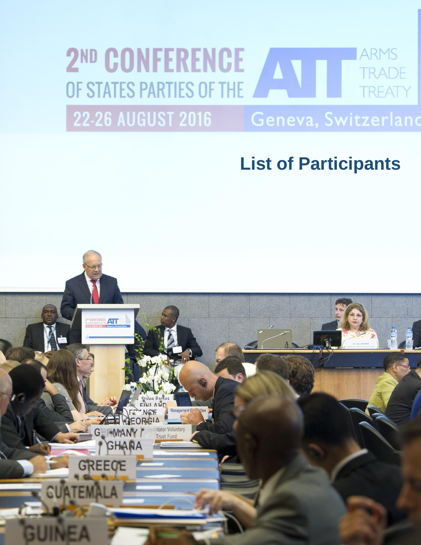## 2<sup>ND</sup> CONFERENCE **ARMS** A T **TRADE** OF STATES PARTIES OF THE **TREATY**

**22-26 AUGUST 2016** 

## Geneva, Switzerland

# **List of Participants List of Participants**

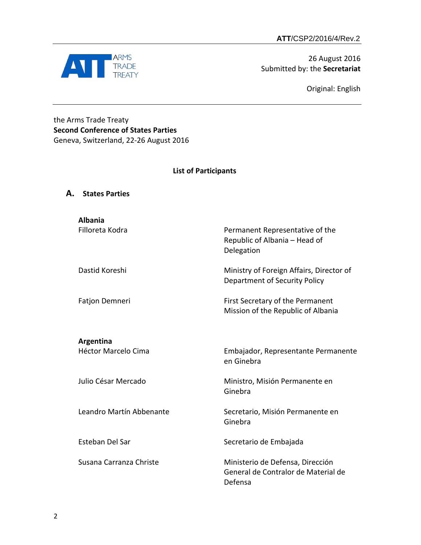

26 August 2016 Submitted by: the **Secretariat**

Original: English

## the Arms Trade Treaty **Second Conference of States Parties** Geneva, Switzerland, 22-26 August 2016

## **List of Participants**

| А. | <b>States Parties</b>             |                                                                                    |
|----|-----------------------------------|------------------------------------------------------------------------------------|
|    | <b>Albania</b><br>Filloreta Kodra | Permanent Representative of the<br>Republic of Albania - Head of<br>Delegation     |
|    | Dastid Koreshi                    | Ministry of Foreign Affairs, Director of<br>Department of Security Policy          |
|    | Fatjon Demneri                    | First Secretary of the Permanent<br>Mission of the Republic of Albania             |
|    | Argentina<br>Héctor Marcelo Cima  | Embajador, Representante Permanente<br>en Ginebra                                  |
|    | Julio César Mercado               | Ministro, Misión Permanente en<br>Ginebra                                          |
|    | Leandro Martín Abbenante          | Secretario, Misión Permanente en<br>Ginebra                                        |
|    | Esteban Del Sar                   | Secretario de Embajada                                                             |
|    | Susana Carranza Christe           | Ministerio de Defensa, Dirección<br>General de Contralor de Material de<br>Defensa |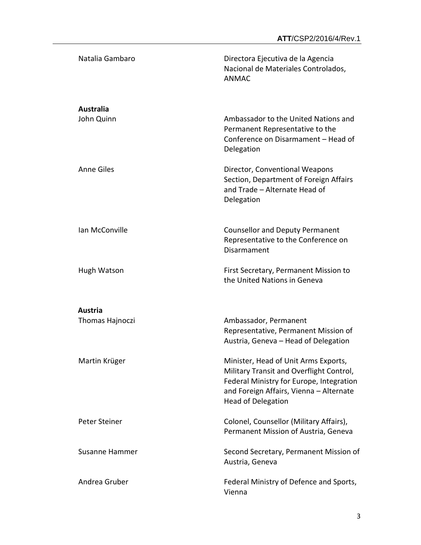| Natalia Gambaro                | Directora Ejecutiva de la Agencia<br>Nacional de Materiales Controlados,<br><b>ANMAC</b>                                                                                                             |
|--------------------------------|------------------------------------------------------------------------------------------------------------------------------------------------------------------------------------------------------|
| <b>Australia</b><br>John Quinn | Ambassador to the United Nations and<br>Permanent Representative to the<br>Conference on Disarmament - Head of<br>Delegation                                                                         |
| <b>Anne Giles</b>              | Director, Conventional Weapons<br>Section, Department of Foreign Affairs<br>and Trade - Alternate Head of<br>Delegation                                                                              |
| Ian McConville                 | <b>Counsellor and Deputy Permanent</b><br>Representative to the Conference on<br>Disarmament                                                                                                         |
| Hugh Watson                    | First Secretary, Permanent Mission to<br>the United Nations in Geneva                                                                                                                                |
| <b>Austria</b>                 |                                                                                                                                                                                                      |
| Thomas Hajnoczi                | Ambassador, Permanent<br>Representative, Permanent Mission of<br>Austria, Geneva - Head of Delegation                                                                                                |
| Martin Krüger                  | Minister, Head of Unit Arms Exports,<br>Military Transit and Overflight Control,<br>Federal Ministry for Europe, Integration<br>and Foreign Affairs, Vienna - Alternate<br><b>Head of Delegation</b> |
| Peter Steiner                  | Colonel, Counsellor (Military Affairs),<br>Permanent Mission of Austria, Geneva                                                                                                                      |
| <b>Susanne Hammer</b>          | Second Secretary, Permanent Mission of<br>Austria, Geneva                                                                                                                                            |
| Andrea Gruber                  | Federal Ministry of Defence and Sports,<br>Vienna                                                                                                                                                    |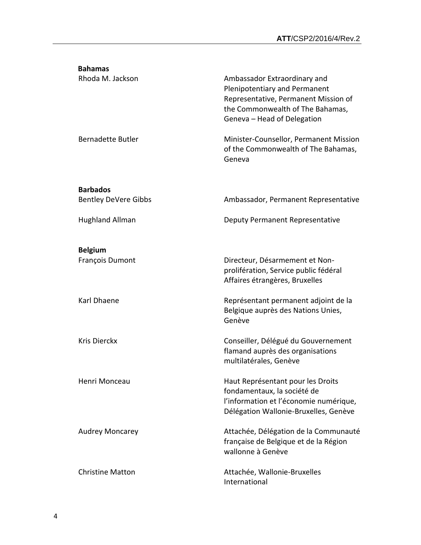| <b>Bahamas</b>                    |                                                                                                                                                                          |
|-----------------------------------|--------------------------------------------------------------------------------------------------------------------------------------------------------------------------|
| Rhoda M. Jackson                  | Ambassador Extraordinary and<br>Plenipotentiary and Permanent<br>Representative, Permanent Mission of<br>the Commonwealth of The Bahamas,<br>Geneva - Head of Delegation |
| <b>Bernadette Butler</b>          | Minister-Counsellor, Permanent Mission<br>of the Commonwealth of The Bahamas,<br>Geneva                                                                                  |
| <b>Barbados</b>                   |                                                                                                                                                                          |
| <b>Bentley DeVere Gibbs</b>       | Ambassador, Permanent Representative                                                                                                                                     |
| <b>Hughland Allman</b>            | Deputy Permanent Representative                                                                                                                                          |
| <b>Belgium</b><br>François Dumont | Directeur, Désarmement et Non-<br>prolifération, Service public fédéral<br>Affaires étrangères, Bruxelles                                                                |
| Karl Dhaene                       | Représentant permanent adjoint de la<br>Belgique auprès des Nations Unies,<br>Genève                                                                                     |
| <b>Kris Dierckx</b>               | Conseiller, Délégué du Gouvernement<br>flamand auprès des organisations<br>multilatérales, Genève                                                                        |
| Henri Monceau                     | Haut Représentant pour les Droits<br>fondamentaux, la société de<br>l'information et l'économie numérique,<br>Délégation Wallonie-Bruxelles, Genève                      |
| <b>Audrey Moncarey</b>            | Attachée, Délégation de la Communauté<br>française de Belgique et de la Région<br>wallonne à Genève                                                                      |
| <b>Christine Matton</b>           | Attachée, Wallonie-Bruxelles<br>International                                                                                                                            |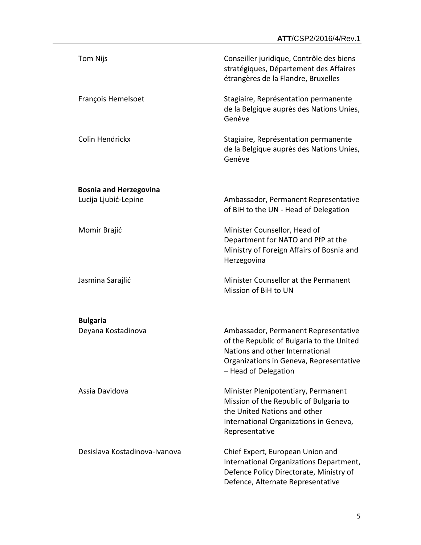| Tom Nijs                                              | Conseiller juridique, Contrôle des biens<br>stratégiques, Département des Affaires<br>étrangères de la Flandre, Bruxelles                                                               |
|-------------------------------------------------------|-----------------------------------------------------------------------------------------------------------------------------------------------------------------------------------------|
| François Hemelsoet                                    | Stagiaire, Représentation permanente<br>de la Belgique auprès des Nations Unies,<br>Genève                                                                                              |
| Colin Hendrickx                                       | Stagiaire, Représentation permanente<br>de la Belgique auprès des Nations Unies,<br>Genève                                                                                              |
|                                                       |                                                                                                                                                                                         |
| <b>Bosnia and Herzegovina</b><br>Lucija Ljubić-Lepine | Ambassador, Permanent Representative<br>of BiH to the UN - Head of Delegation                                                                                                           |
| Momir Brajić                                          | Minister Counsellor, Head of<br>Department for NATO and PfP at the<br>Ministry of Foreign Affairs of Bosnia and<br>Herzegovina                                                          |
| Jasmina Sarajlić                                      | Minister Counsellor at the Permanent<br>Mission of BiH to UN                                                                                                                            |
| <b>Bulgaria</b>                                       |                                                                                                                                                                                         |
| Deyana Kostadinova                                    | Ambassador, Permanent Representative<br>of the Republic of Bulgaria to the United<br>Nations and other International<br>Organizations in Geneva, Representative<br>- Head of Delegation |
| Assia Davidova                                        | Minister Plenipotentiary, Permanent<br>Mission of the Republic of Bulgaria to<br>the United Nations and other<br>International Organizations in Geneva,<br>Representative               |
| Desislava Kostadinova-Ivanova                         | Chief Expert, European Union and<br>International Organizations Department,<br>Defence Policy Directorate, Ministry of<br>Defence, Alternate Representative                             |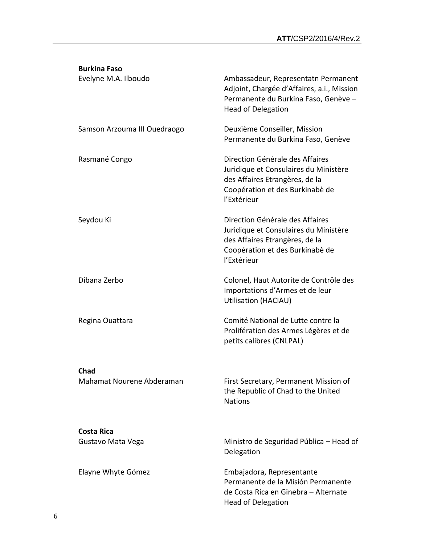| <b>Burkina Faso</b>                      |                                                                                                                                                              |
|------------------------------------------|--------------------------------------------------------------------------------------------------------------------------------------------------------------|
| Evelyne M.A. Ilboudo                     | Ambassadeur, Representatn Permanent<br>Adjoint, Chargée d'Affaires, a.i., Mission<br>Permanente du Burkina Faso, Genève -<br><b>Head of Delegation</b>       |
| Samson Arzouma III Ouedraogo             | Deuxième Conseiller, Mission<br>Permanente du Burkina Faso, Genève                                                                                           |
| Rasmané Congo                            | Direction Générale des Affaires<br>Juridique et Consulaires du Ministère<br>des Affaires Etrangères, de la<br>Coopération et des Burkinabè de<br>l'Extérieur |
| Seydou Ki                                | Direction Générale des Affaires<br>Juridique et Consulaires du Ministère<br>des Affaires Etrangères, de la<br>Coopération et des Burkinabè de<br>l'Extérieur |
| Dibana Zerbo                             | Colonel, Haut Autorite de Contrôle des<br>Importations d'Armes et de leur<br>Utilisation (HACIAU)                                                            |
| Regina Ouattara                          | Comité National de Lutte contre la<br>Prolifération des Armes Légères et de<br>petits calibres (CNLPAL)                                                      |
| <b>Chad</b><br>Mahamat Nourene Abderaman | First Secretary, Permanent Mission of<br>the Republic of Chad to the United<br><b>Nations</b>                                                                |
| <b>Costa Rica</b><br>Gustavo Mata Vega   | Ministro de Seguridad Pública - Head of<br>Delegation                                                                                                        |
| Elayne Whyte Gómez                       | Embajadora, Representante<br>Permanente de la Misión Permanente<br>de Costa Rica en Ginebra - Alternate<br><b>Head of Delegation</b>                         |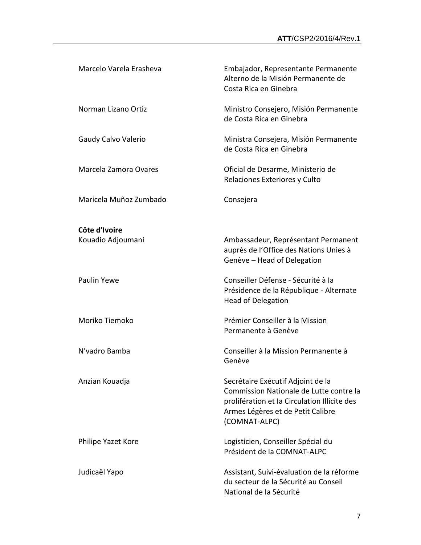| Marcelo Varela Erasheva | Embajador, Representante Permanente<br>Alterno de la Misión Permanente de<br>Costa Rica en Ginebra                                                                                 |
|-------------------------|------------------------------------------------------------------------------------------------------------------------------------------------------------------------------------|
| Norman Lizano Ortiz     | Ministro Consejero, Misión Permanente<br>de Costa Rica en Ginebra                                                                                                                  |
| Gaudy Calvo Valerio     | Ministra Consejera, Misión Permanente<br>de Costa Rica en Ginebra                                                                                                                  |
| Marcela Zamora Ovares   | Oficial de Desarme, Ministerio de<br>Relaciones Exteriores y Culto                                                                                                                 |
| Maricela Muñoz Zumbado  | Consejera                                                                                                                                                                          |
| Côte d'Ivoire           |                                                                                                                                                                                    |
| Kouadio Adjoumani       | Ambassadeur, Représentant Permanent<br>auprès de l'Office des Nations Unies à<br>Genève - Head of Delegation                                                                       |
| <b>Paulin Yewe</b>      | Conseiller Défense - Sécurité à la<br>Présidence de la République - Alternate<br><b>Head of Delegation</b>                                                                         |
| Moriko Tiemoko          | Prémier Conseiller à la Mission<br>Permanente à Genève                                                                                                                             |
| N'vadro Bamba           | Conseiller à la Mission Permanente à<br>Genève                                                                                                                                     |
| Anzian Kouadja          | Secrétaire Exécutif Adjoint de la<br>Commission Nationale de Lutte contre la<br>prolifération et la Circulation Illicite des<br>Armes Légères et de Petit Calibre<br>(COMNAT-ALPC) |
| Philipe Yazet Kore      | Logisticien, Conseiller Spécial du<br>Président de la COMNAT-ALPC                                                                                                                  |
| Judicaël Yapo           | Assistant, Suivi-évaluation de la réforme<br>du secteur de la Sécurité au Conseil<br>National de la Sécurité                                                                       |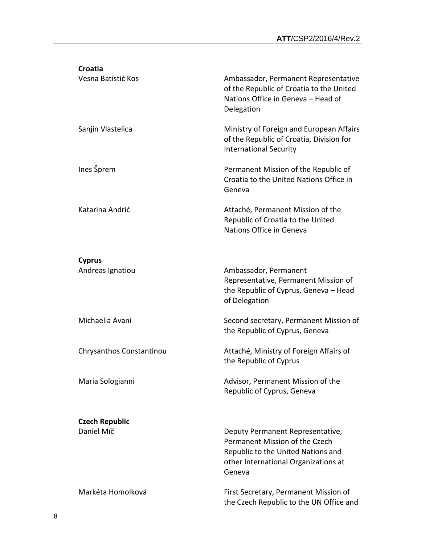| Croatia<br>Vesna Batistić Kos | Ambassador, Permanent Representative                                                                                    |
|-------------------------------|-------------------------------------------------------------------------------------------------------------------------|
|                               | of the Republic of Croatia to the United<br>Nations Office in Geneva - Head of<br>Delegation                            |
| Sanjin Vlastelica             | Ministry of Foreign and European Affairs<br>of the Republic of Croatia, Division for<br><b>International Security</b>   |
| Ines Šprem                    | Permanent Mission of the Republic of<br>Croatia to the United Nations Office in<br>Geneva                               |
| Katarina Andrić               | Attaché, Permanent Mission of the<br>Republic of Croatia to the United<br>Nations Office in Geneva                      |
| <b>Cyprus</b>                 |                                                                                                                         |
| Andreas Ignatiou              | Ambassador, Permanent<br>Representative, Permanent Mission of<br>the Republic of Cyprus, Geneva - Head<br>of Delegation |
| Michaelia Avani               | Second secretary, Permanent Mission of<br>the Republic of Cyprus, Geneva                                                |
| Chrysanthos Constantinou      | Attaché, Ministry of Foreign Affairs of<br>the Republic of Cyprus                                                       |
| Maria Sologianni              | Advisor, Permanent Mission of the<br>Republic of Cyprus, Geneva                                                         |
| <b>Czech Republic</b>         |                                                                                                                         |
| Daniel Míč                    | Deputy Permanent Representative,                                                                                        |
|                               | Permanent Mission of the Czech<br>Republic to the United Nations and<br>other International Organizations at<br>Geneva  |
| Markéta Homolková             | First Secretary, Permanent Mission of<br>the Czech Republic to the UN Office and                                        |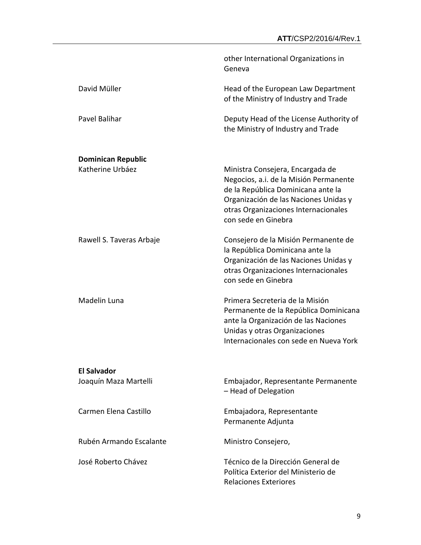|                                               | other International Organizations in<br>Geneva                                                                                                                                                                           |
|-----------------------------------------------|--------------------------------------------------------------------------------------------------------------------------------------------------------------------------------------------------------------------------|
| David Müller                                  | Head of the European Law Department<br>of the Ministry of Industry and Trade                                                                                                                                             |
| Pavel Balihar                                 | Deputy Head of the License Authority of<br>the Ministry of Industry and Trade                                                                                                                                            |
| <b>Dominican Republic</b><br>Katherine Urbáez | Ministra Consejera, Encargada de<br>Negocios, a.i. de la Misión Permanente<br>de la República Dominicana ante la<br>Organización de las Naciones Unidas y<br>otras Organizaciones Internacionales<br>con sede en Ginebra |
| Rawell S. Taveras Arbaje                      | Consejero de la Misión Permanente de<br>la República Dominicana ante la<br>Organización de las Naciones Unidas y<br>otras Organizaciones Internacionales<br>con sede en Ginebra                                          |
| Madelin Luna                                  | Primera Secreteria de la Misión<br>Permanente de la República Dominicana<br>ante la Organización de las Naciones<br>Unidas y otras Organizaciones<br>Internacionales con sede en Nueva York                              |
| <b>El Salvador</b><br>Joaquín Maza Martelli   | Embajador, Representante Permanente<br>- Head of Delegation                                                                                                                                                              |
| Carmen Flena Castillo                         | Embajadora, Representante<br>Permanente Adjunta                                                                                                                                                                          |
| Rubén Armando Escalante                       | Ministro Consejero,                                                                                                                                                                                                      |
| José Roberto Chávez                           | Técnico de la Dirección General de<br>Política Exterior del Ministerio de<br><b>Relaciones Exteriores</b>                                                                                                                |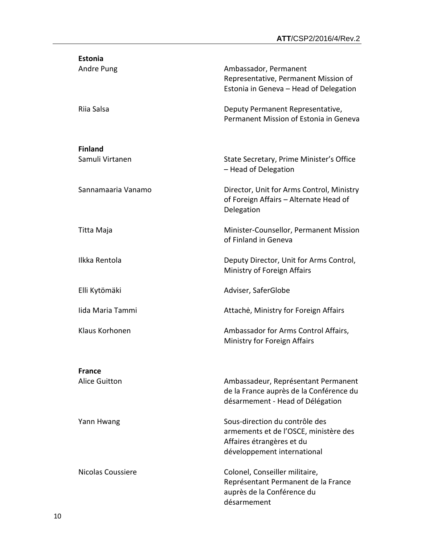| <b>Estonia</b>                        |                                                                                                                                     |
|---------------------------------------|-------------------------------------------------------------------------------------------------------------------------------------|
| Andre Pung                            | Ambassador, Permanent<br>Representative, Permanent Mission of<br>Estonia in Geneva - Head of Delegation                             |
| Riia Salsa                            | Deputy Permanent Representative,<br>Permanent Mission of Estonia in Geneva                                                          |
| <b>Finland</b>                        |                                                                                                                                     |
| Samuli Virtanen                       | State Secretary, Prime Minister's Office<br>- Head of Delegation                                                                    |
| Sannamaaria Vanamo                    | Director, Unit for Arms Control, Ministry<br>of Foreign Affairs - Alternate Head of<br>Delegation                                   |
| Titta Maja                            | Minister-Counsellor, Permanent Mission<br>of Finland in Geneva                                                                      |
| Ilkka Rentola                         | Deputy Director, Unit for Arms Control,<br>Ministry of Foreign Affairs                                                              |
| Elli Kytömäki                         | Adviser, SaferGlobe                                                                                                                 |
| lida Maria Tammi                      | Attache, Ministry for Foreign Affairs                                                                                               |
| Klaus Korhonen                        | Ambassador for Arms Control Affairs,<br>Ministry for Foreign Affairs                                                                |
|                                       |                                                                                                                                     |
| <b>France</b><br><b>Alice Guitton</b> | Ambassadeur, Représentant Permanent<br>de la France auprès de la Conférence du<br>désarmement - Head of Délégation                  |
| Yann Hwang                            | Sous-direction du contrôle des<br>armements et de l'OSCE, ministère des<br>Affaires étrangères et du<br>développement international |
| Nicolas Coussiere                     | Colonel, Conseiller militaire,<br>Représentant Permanent de la France<br>auprès de la Conférence du<br>désarmement                  |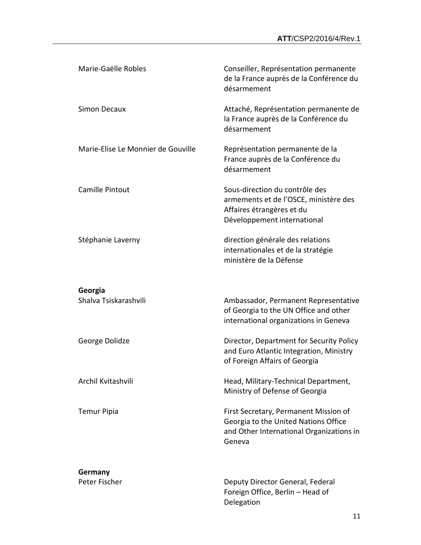| Marie-Gaëlle Robles                | Conseiller, Représentation permanente<br>de la France auprès de la Conférence du<br>désarmement                                     |
|------------------------------------|-------------------------------------------------------------------------------------------------------------------------------------|
| <b>Simon Decaux</b>                | Attaché, Représentation permanente de<br>la France auprès de la Conférence du<br>désarmement                                        |
| Marie-Elise Le Monnier de Gouville | Représentation permanente de la<br>France auprès de la Conférence du<br>désarmement                                                 |
| Camille Pintout                    | Sous-direction du contrôle des<br>armements et de l'OSCE, ministère des<br>Affaires étrangères et du<br>Développement international |
| Stéphanie Laverny                  | direction générale des relations<br>internationales et de la stratégie<br>ministère de la Défense                                   |
| Georgia                            |                                                                                                                                     |
| Shalva Tsiskarashvili              | Ambassador, Permanent Representative<br>of Georgia to the UN Office and other<br>international organizations in Geneva              |
| George Dolidze                     | Director, Department for Security Policy<br>and Euro Atlantic Integration, Ministry<br>of Foreign Affairs of Georgia                |
| Archil Kvitashvili                 | Head, Military-Technical Department,<br>Ministry of Defense of Georgia                                                              |
| <b>Temur Pipia</b>                 | First Secretary, Permanent Mission of<br>Georgia to the United Nations Office<br>and Other International Organizations in<br>Geneva |
| Germany                            |                                                                                                                                     |
| Peter Fischer                      | Deputy Director General, Federal<br>Foreign Office, Berlin - Head of<br>Delegation                                                  |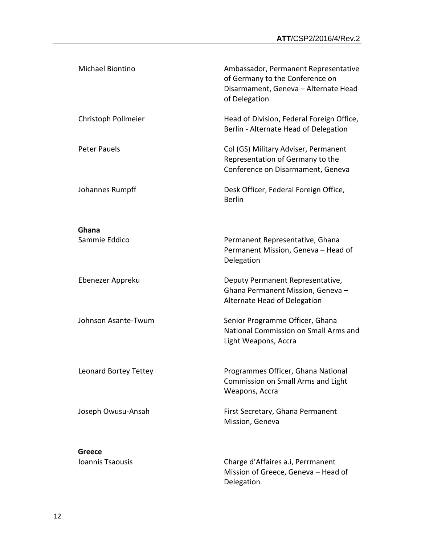| <b>Michael Biontino</b>           | Ambassador, Permanent Representative<br>of Germany to the Conference on<br>Disarmament, Geneva - Alternate Head<br>of Delegation |
|-----------------------------------|----------------------------------------------------------------------------------------------------------------------------------|
| Christoph Pollmeier               | Head of Division, Federal Foreign Office,<br>Berlin - Alternate Head of Delegation                                               |
| <b>Peter Pauels</b>               | Col (GS) Military Adviser, Permanent<br>Representation of Germany to the<br>Conference on Disarmament, Geneva                    |
| Johannes Rumpff                   | Desk Officer, Federal Foreign Office,<br><b>Berlin</b>                                                                           |
|                                   |                                                                                                                                  |
| Ghana<br>Sammie Eddico            | Permanent Representative, Ghana<br>Permanent Mission, Geneva - Head of<br>Delegation                                             |
| Ebenezer Appreku                  | Deputy Permanent Representative,<br>Ghana Permanent Mission, Geneva -<br>Alternate Head of Delegation                            |
| Johnson Asante-Twum               | Senior Programme Officer, Ghana<br>National Commission on Small Arms and<br>Light Weapons, Accra                                 |
| Leonard Bortey Tettey             | Programmes Officer, Ghana National<br>Commission on Small Arms and Light<br>Weapons, Accra                                       |
| Joseph Owusu-Ansah                | First Secretary, Ghana Permanent<br>Mission, Geneva                                                                              |
|                                   |                                                                                                                                  |
| <b>Greece</b><br>Ioannis Tsaousis | Charge d'Affaires a.i, Perrmanent<br>Mission of Greece, Geneva - Head of<br>Delegation                                           |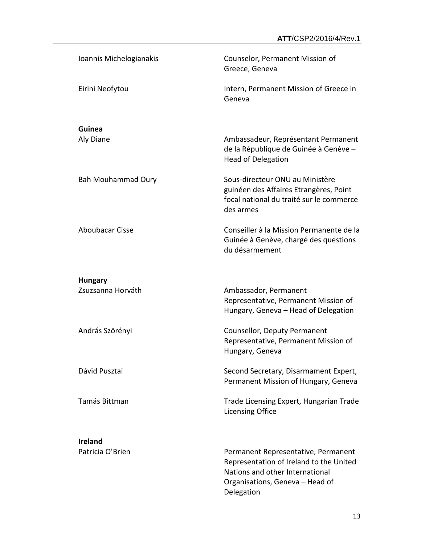| Ioannis Michelogianakis             | Counselor, Permanent Mission of<br>Greece, Geneva                                                                                                                  |
|-------------------------------------|--------------------------------------------------------------------------------------------------------------------------------------------------------------------|
| Eirini Neofytou                     | Intern, Permanent Mission of Greece in<br>Geneva                                                                                                                   |
| Guinea<br>Aly Diane                 | Ambassadeur, Représentant Permanent<br>de la République de Guinée à Genève -<br><b>Head of Delegation</b>                                                          |
| <b>Bah Mouhammad Oury</b>           | Sous-directeur ONU au Ministère<br>guinéen des Affaires Etrangères, Point<br>focal national du traité sur le commerce<br>des armes                                 |
| <b>Aboubacar Cisse</b>              | Conseiller à la Mission Permanente de la<br>Guinée à Genève, chargé des questions<br>du désarmement                                                                |
| <b>Hungary</b><br>Zsuzsanna Horváth | Ambassador, Permanent<br>Representative, Permanent Mission of                                                                                                      |
|                                     | Hungary, Geneva - Head of Delegation                                                                                                                               |
| András Szörényi                     | Counsellor, Deputy Permanent<br>Representative, Permanent Mission of<br>Hungary, Geneva                                                                            |
| Dávid Pusztai                       | Second Secretary, Disarmament Expert,<br>Permanent Mission of Hungary, Geneva                                                                                      |
| Tamás Bittman                       | Trade Licensing Expert, Hungarian Trade<br><b>Licensing Office</b>                                                                                                 |
| <b>Ireland</b><br>Patricia O'Brien  | Permanent Representative, Permanent<br>Representation of Ireland to the United<br>Nations and other International<br>Organisations, Geneva - Head of<br>Delegation |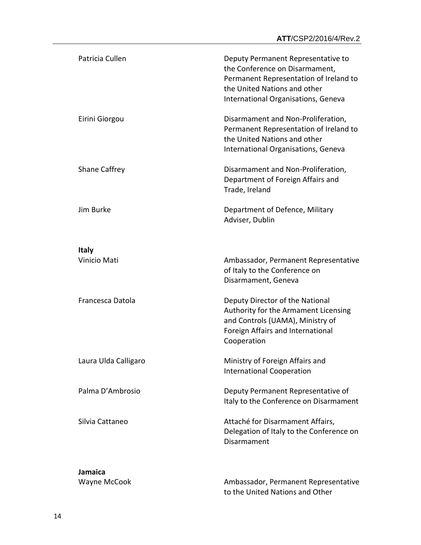| Patricia Cullen      | Deputy Permanent Representative to<br>the Conference on Disarmament,<br>Permanent Representation of Ireland to<br>the United Nations and other<br>International Organisations, Geneva |
|----------------------|---------------------------------------------------------------------------------------------------------------------------------------------------------------------------------------|
| Eirini Giorgou       | Disarmament and Non-Proliferation,<br>Permanent Representation of Ireland to<br>the United Nations and other<br>International Organisations, Geneva                                   |
| <b>Shane Caffrey</b> | Disarmament and Non-Proliferation,<br>Department of Foreign Affairs and<br>Trade, Ireland                                                                                             |
| Jim Burke            | Department of Defence, Military<br>Adviser, Dublin                                                                                                                                    |
| <b>Italy</b>         |                                                                                                                                                                                       |
| Vinicio Mati         | Ambassador, Permanent Representative<br>of Italy to the Conference on<br>Disarmament, Geneva                                                                                          |
| Francesca Datola     | Deputy Director of the National<br>Authority for the Armament Licensing<br>and Controls (UAMA), Ministry of<br>Foreign Affairs and International<br>Cooperation                       |
| Laura Ulda Calligaro | Ministry of Foreign Affairs and<br><b>International Cooperation</b>                                                                                                                   |
| Palma D'Ambrosio     | Deputy Permanent Representative of<br>Italy to the Conference on Disarmament                                                                                                          |
| Silvia Cattaneo      | Attaché for Disarmament Affairs,<br>Delegation of Italy to the Conference on<br>Disarmament                                                                                           |
| Jamaica              |                                                                                                                                                                                       |
| Wayne McCook         | Ambassador, Permanent Representative<br>to the United Nations and Other                                                                                                               |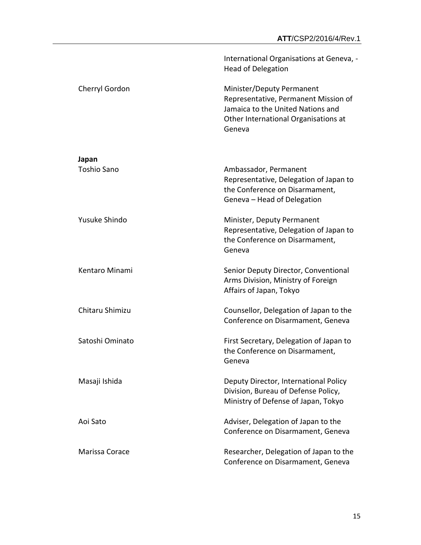|                    | International Organisations at Geneva, -<br><b>Head of Delegation</b>                                                                                    |
|--------------------|----------------------------------------------------------------------------------------------------------------------------------------------------------|
| Cherryl Gordon     | Minister/Deputy Permanent<br>Representative, Permanent Mission of<br>Jamaica to the United Nations and<br>Other International Organisations at<br>Geneva |
| Japan              |                                                                                                                                                          |
| <b>Toshio Sano</b> | Ambassador, Permanent<br>Representative, Delegation of Japan to<br>the Conference on Disarmament,<br>Geneva - Head of Delegation                         |
| Yusuke Shindo      | Minister, Deputy Permanent<br>Representative, Delegation of Japan to<br>the Conference on Disarmament,<br>Geneva                                         |
| Kentaro Minami     | Senior Deputy Director, Conventional<br>Arms Division, Ministry of Foreign<br>Affairs of Japan, Tokyo                                                    |
| Chitaru Shimizu    | Counsellor, Delegation of Japan to the<br>Conference on Disarmament, Geneva                                                                              |
| Satoshi Ominato    | First Secretary, Delegation of Japan to<br>the Conference on Disarmament,<br>Geneva                                                                      |
| Masaji Ishida      | Deputy Director, International Policy<br>Division, Bureau of Defense Policy,<br>Ministry of Defense of Japan, Tokyo                                      |
| Aoi Sato           | Adviser, Delegation of Japan to the<br>Conference on Disarmament, Geneva                                                                                 |
| Marissa Corace     | Researcher, Delegation of Japan to the<br>Conference on Disarmament, Geneva                                                                              |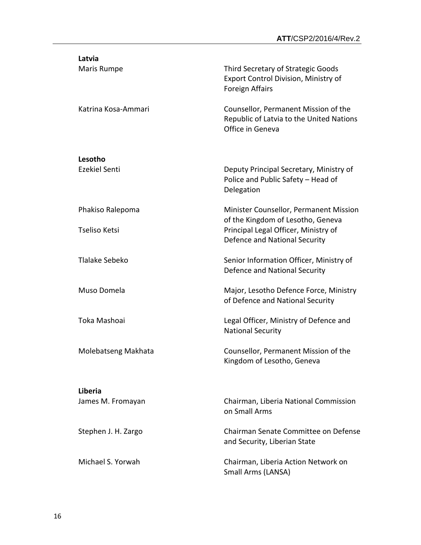| Latvia<br>Maris Rumpe                    | Third Secretary of Strategic Goods<br>Export Control Division, Ministry of<br><b>Foreign Affairs</b>                                                 |
|------------------------------------------|------------------------------------------------------------------------------------------------------------------------------------------------------|
| Katrina Kosa-Ammari                      | Counsellor, Permanent Mission of the<br>Republic of Latvia to the United Nations<br>Office in Geneva                                                 |
| Lesotho<br><b>Ezekiel Senti</b>          | Deputy Principal Secretary, Ministry of<br>Police and Public Safety - Head of<br>Delegation                                                          |
| Phakiso Ralepoma<br><b>Tseliso Ketsi</b> | Minister Counsellor, Permanent Mission<br>of the Kingdom of Lesotho, Geneva<br>Principal Legal Officer, Ministry of<br>Defence and National Security |
| Tlalake Sebeko                           | Senior Information Officer, Ministry of<br>Defence and National Security                                                                             |
| Muso Domela                              | Major, Lesotho Defence Force, Ministry<br>of Defence and National Security                                                                           |
| Toka Mashoai                             | Legal Officer, Ministry of Defence and<br><b>National Security</b>                                                                                   |
| Molebatseng Makhata                      | Counsellor, Permanent Mission of the<br>Kingdom of Lesotho, Geneva                                                                                   |
| Liberia<br>James M. Fromayan             | Chairman, Liberia National Commission<br>on Small Arms                                                                                               |
| Stephen J. H. Zargo                      | Chairman Senate Committee on Defense<br>and Security, Liberian State                                                                                 |
| Michael S. Yorwah                        | Chairman, Liberia Action Network on<br>Small Arms (LANSA)                                                                                            |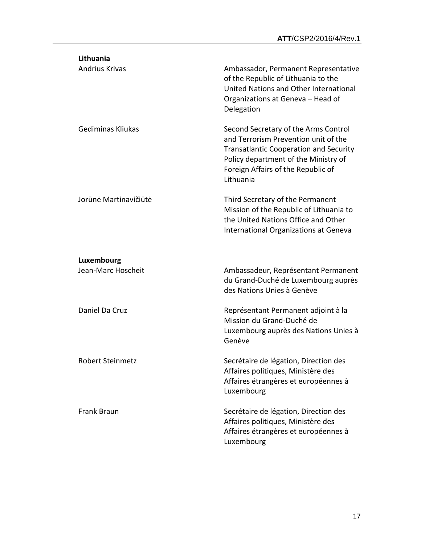| Lithuania                |                                                                                                                                                                                                                          |
|--------------------------|--------------------------------------------------------------------------------------------------------------------------------------------------------------------------------------------------------------------------|
| <b>Andrius Krivas</b>    | Ambassador, Permanent Representative<br>of the Republic of Lithuania to the<br>United Nations and Other International<br>Organizations at Geneva - Head of<br>Delegation                                                 |
| <b>Gediminas Kliukas</b> | Second Secretary of the Arms Control<br>and Terrorism Prevention unit of the<br><b>Transatlantic Cooperation and Security</b><br>Policy department of the Ministry of<br>Foreign Affairs of the Republic of<br>Lithuania |
| Jorūnė Martinavičiūtė    | Third Secretary of the Permanent<br>Mission of the Republic of Lithuania to<br>the United Nations Office and Other<br>International Organizations at Geneva                                                              |
| Luxembourg               |                                                                                                                                                                                                                          |
| Jean-Marc Hoscheit       | Ambassadeur, Représentant Permanent<br>du Grand-Duché de Luxembourg auprès<br>des Nations Unies à Genève                                                                                                                 |
| Daniel Da Cruz           | Représentant Permanent adjoint à la<br>Mission du Grand-Duché de<br>Luxembourg auprès des Nations Unies à<br>Genève                                                                                                      |
| <b>Robert Steinmetz</b>  | Secrétaire de légation, Direction des<br>Affaires politiques, Ministère des<br>Affaires étrangères et européennes à<br>Luxembourg                                                                                        |
| <b>Frank Braun</b>       | Secrétaire de légation, Direction des<br>Affaires politiques, Ministère des<br>Affaires étrangères et européennes à<br>Luxembourg                                                                                        |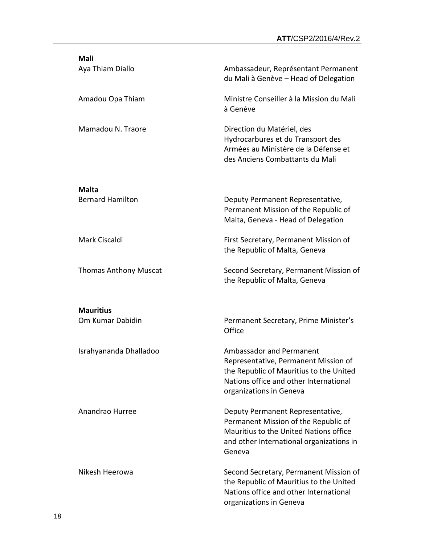| <b>Mali</b>                          |                                                                                                                                                                                  |
|--------------------------------------|----------------------------------------------------------------------------------------------------------------------------------------------------------------------------------|
| Aya Thiam Diallo                     | Ambassadeur, Représentant Permanent<br>du Mali à Genève - Head of Delegation                                                                                                     |
| Amadou Opa Thiam                     | Ministre Conseiller à la Mission du Mali<br>à Genève                                                                                                                             |
| Mamadou N. Traore                    | Direction du Matériel, des<br>Hydrocarbures et du Transport des<br>Armées au Ministère de la Défense et<br>des Anciens Combattants du Mali                                       |
| <b>Malta</b>                         |                                                                                                                                                                                  |
| <b>Bernard Hamilton</b>              | Deputy Permanent Representative,<br>Permanent Mission of the Republic of<br>Malta, Geneva - Head of Delegation                                                                   |
| Mark Ciscaldi                        | First Secretary, Permanent Mission of<br>the Republic of Malta, Geneva                                                                                                           |
| <b>Thomas Anthony Muscat</b>         | Second Secretary, Permanent Mission of<br>the Republic of Malta, Geneva                                                                                                          |
|                                      |                                                                                                                                                                                  |
| <b>Mauritius</b><br>Om Kumar Dabidin | Permanent Secretary, Prime Minister's<br>Office                                                                                                                                  |
| Israhyananda Dhalladoo               | Ambassador and Permanent<br>Representative, Permanent Mission of<br>the Republic of Mauritius to the United<br>Nations office and other International<br>organizations in Geneva |
| Anandrao Hurree                      | Deputy Permanent Representative,<br>Permanent Mission of the Republic of<br>Mauritius to the United Nations office<br>and other International organizations in<br>Geneva         |
| Nikesh Heerowa                       | Second Secretary, Permanent Mission of<br>the Republic of Mauritius to the United<br>Nations office and other International<br>organizations in Geneva                           |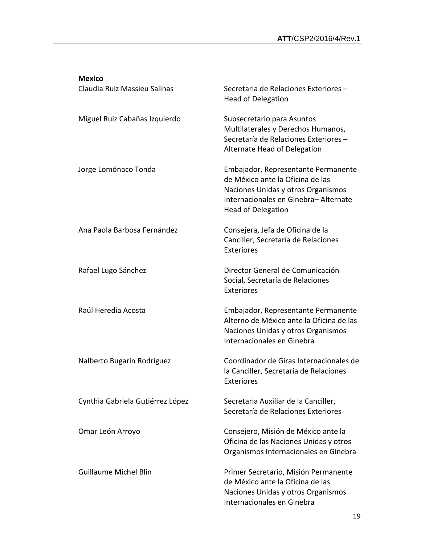| <b>Mexico</b>                    |                                                                                                                                                                                     |
|----------------------------------|-------------------------------------------------------------------------------------------------------------------------------------------------------------------------------------|
| Claudia Ruiz Massieu Salinas     | Secretaria de Relaciones Exteriores -<br><b>Head of Delegation</b>                                                                                                                  |
| Miguel Ruiz Cabañas Izquierdo    | Subsecretario para Asuntos<br>Multilaterales y Derechos Humanos,<br>Secretaría de Relaciones Exteriores -<br>Alternate Head of Delegation                                           |
| Jorge Lomónaco Tonda             | Embajador, Representante Permanente<br>de México ante la Oficina de las<br>Naciones Unidas y otros Organismos<br>Internacionales en Ginebra- Alternate<br><b>Head of Delegation</b> |
| Ana Paola Barbosa Fernández      | Consejera, Jefa de Oficina de la<br>Canciller, Secretaría de Relaciones<br>Exteriores                                                                                               |
| Rafael Lugo Sánchez              | Director General de Comunicación<br>Social, Secretaría de Relaciones<br>Exteriores                                                                                                  |
| Raúl Heredia Acosta              | Embajador, Representante Permanente<br>Alterno de México ante la Oficina de las<br>Naciones Unidas y otros Organismos<br>Internacionales en Ginebra                                 |
| Nalberto Bugarín Rodríguez       | Coordinador de Giras Internacionales de<br>la Canciller, Secretaría de Relaciones<br><b>Exteriores</b>                                                                              |
| Cynthia Gabriela Gutiérrez López | Secretaria Auxiliar de la Canciller,<br>Secretaría de Relaciones Exteriores                                                                                                         |
| Omar León Arroyo                 | Consejero, Misión de México ante la<br>Oficina de las Naciones Unidas y otros<br>Organismos Internacionales en Ginebra                                                              |
| <b>Guillaume Michel Blin</b>     | Primer Secretario, Misión Permanente<br>de México ante la Oficina de las<br>Naciones Unidas y otros Organismos<br>Internacionales en Ginebra                                        |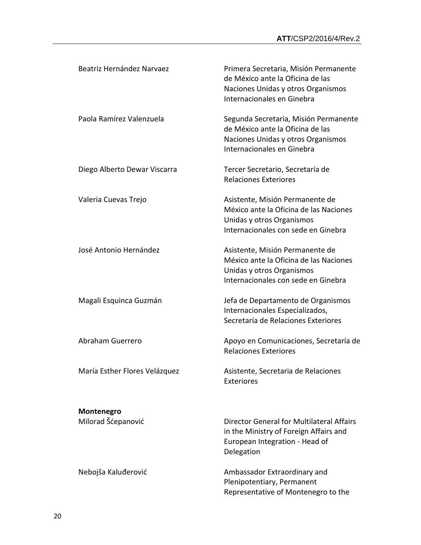| Beatriz Hernández Narvaez     | Primera Secretaria, Misión Permanente<br>de México ante la Oficina de las<br>Naciones Unidas y otros Organismos<br>Internacionales en Ginebra |
|-------------------------------|-----------------------------------------------------------------------------------------------------------------------------------------------|
| Paola Ramírez Valenzuela      | Segunda Secretaria, Misión Permanente<br>de México ante la Oficina de las<br>Naciones Unidas y otros Organismos<br>Internacionales en Ginebra |
| Diego Alberto Dewar Viscarra  | Tercer Secretario, Secretaría de<br><b>Relaciones Exteriores</b>                                                                              |
| Valeria Cuevas Trejo          | Asistente, Misión Permanente de<br>México ante la Oficina de las Naciones<br>Unidas y otros Organismos<br>Internacionales con sede en Ginebra |
| José Antonio Hernández        | Asistente, Misión Permanente de<br>México ante la Oficina de las Naciones<br>Unidas y otros Organismos<br>Internacionales con sede en Ginebra |
| Magali Esquinca Guzmán        | Jefa de Departamento de Organismos<br>Internacionales Especializados,<br>Secretaría de Relaciones Exteriores                                  |
| Abraham Guerrero              | Apoyo en Comunicaciones, Secretaría de<br><b>Relaciones Exteriores</b>                                                                        |
| María Esther Flores Velázquez | Asistente, Secretaria de Relaciones<br><b>Exteriores</b>                                                                                      |
| Montenegro                    |                                                                                                                                               |
| Milorad Šćepanović            | Director General for Multilateral Affairs<br>in the Ministry of Foreign Affairs and<br>European Integration - Head of<br>Delegation           |
| Nebojša Kaluđerović           | Ambassador Extraordinary and<br>Plenipotentiary, Permanent<br>Representative of Montenegro to the                                             |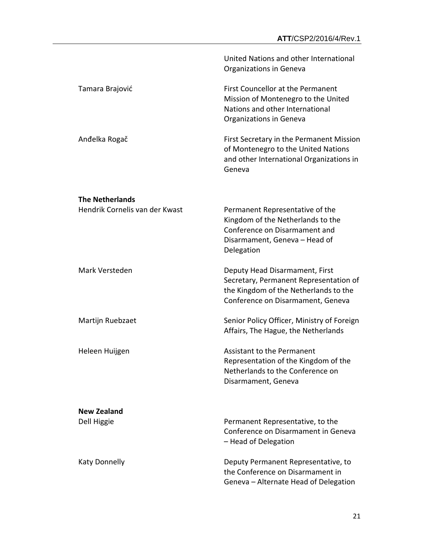|                                | United Nations and other International<br>Organizations in Geneva                                                                                      |
|--------------------------------|--------------------------------------------------------------------------------------------------------------------------------------------------------|
| Tamara Brajović                | First Councellor at the Permanent<br>Mission of Montenegro to the United<br>Nations and other International<br>Organizations in Geneva                 |
| Anđelka Rogač                  | First Secretary in the Permanent Mission<br>of Montenegro to the United Nations<br>and other International Organizations in<br>Geneva                  |
| <b>The Netherlands</b>         |                                                                                                                                                        |
| Hendrik Cornelis van der Kwast | Permanent Representative of the<br>Kingdom of the Netherlands to the<br>Conference on Disarmament and<br>Disarmament, Geneva - Head of<br>Delegation   |
| Mark Versteden                 | Deputy Head Disarmament, First<br>Secretary, Permanent Representation of<br>the Kingdom of the Netherlands to the<br>Conference on Disarmament, Geneva |
| Martijn Ruebzaet               | Senior Policy Officer, Ministry of Foreign<br>Affairs, The Hague, the Netherlands                                                                      |
| Heleen Huijgen                 | <b>Assistant to the Permanent</b><br>Representation of the Kingdom of the<br>Netherlands to the Conference on<br>Disarmament, Geneva                   |
| <b>New Zealand</b>             |                                                                                                                                                        |
| Dell Higgie                    | Permanent Representative, to the<br>Conference on Disarmament in Geneva<br>- Head of Delegation                                                        |
| <b>Katy Donnelly</b>           | Deputy Permanent Representative, to<br>the Conference on Disarmament in<br>Geneva - Alternate Head of Delegation                                       |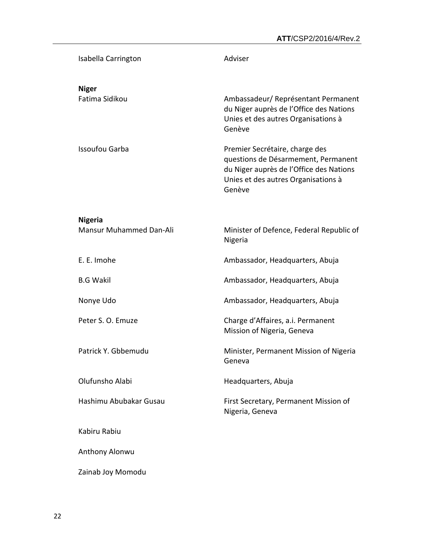| Isabella Carrington                       | Adviser                                                                                                                                                           |
|-------------------------------------------|-------------------------------------------------------------------------------------------------------------------------------------------------------------------|
| <b>Niger</b><br>Fatima Sidikou            | Ambassadeur/Représentant Permanent<br>du Niger auprès de l'Office des Nations<br>Unies et des autres Organisations à<br>Genève                                    |
| <b>Issoufou Garba</b>                     | Premier Secrétaire, charge des<br>questions de Désarmement, Permanent<br>du Niger auprès de l'Office des Nations<br>Unies et des autres Organisations à<br>Genève |
| <b>Nigeria</b><br>Mansur Muhammed Dan-Ali | Minister of Defence, Federal Republic of<br>Nigeria                                                                                                               |
| E. E. Imohe                               | Ambassador, Headquarters, Abuja                                                                                                                                   |
| <b>B.G Wakil</b>                          | Ambassador, Headquarters, Abuja                                                                                                                                   |
| Nonye Udo                                 | Ambassador, Headquarters, Abuja                                                                                                                                   |
| Peter S. O. Emuze                         | Charge d'Affaires, a.i. Permanent<br>Mission of Nigeria, Geneva                                                                                                   |
| Patrick Y. Gbbemudu                       | Minister, Permanent Mission of Nigeria<br>Geneva                                                                                                                  |
| Olufunsho Alabi                           | Headquarters, Abuja                                                                                                                                               |
| Hashimu Abubakar Gusau                    | First Secretary, Permanent Mission of<br>Nigeria, Geneva                                                                                                          |
| Kabiru Rabiu                              |                                                                                                                                                                   |
| Anthony Alonwu                            |                                                                                                                                                                   |
| Zainab Joy Momodu                         |                                                                                                                                                                   |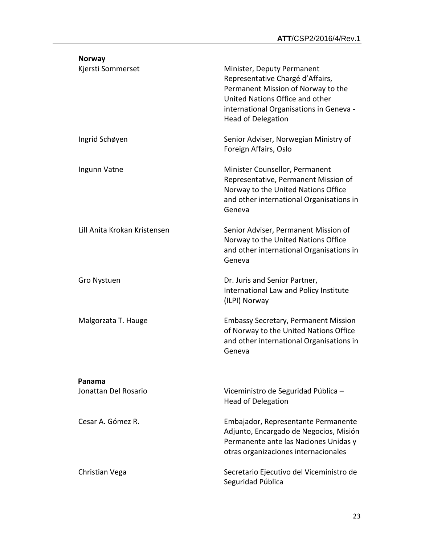| <b>Norway</b>                |                                                                                                                                                                                                                 |
|------------------------------|-----------------------------------------------------------------------------------------------------------------------------------------------------------------------------------------------------------------|
| Kjersti Sommerset            | Minister, Deputy Permanent<br>Representative Chargé d'Affairs,<br>Permanent Mission of Norway to the<br>United Nations Office and other<br>international Organisations in Geneva -<br><b>Head of Delegation</b> |
| Ingrid Schøyen               | Senior Adviser, Norwegian Ministry of<br>Foreign Affairs, Oslo                                                                                                                                                  |
| Ingunn Vatne                 | Minister Counsellor, Permanent<br>Representative, Permanent Mission of<br>Norway to the United Nations Office<br>and other international Organisations in<br>Geneva                                             |
| Lill Anita Krokan Kristensen | Senior Adviser, Permanent Mission of<br>Norway to the United Nations Office<br>and other international Organisations in<br>Geneva                                                                               |
| Gro Nystuen                  | Dr. Juris and Senior Partner,<br>International Law and Policy Institute<br>(ILPI) Norway                                                                                                                        |
| Malgorzata T. Hauge          | <b>Embassy Secretary, Permanent Mission</b><br>of Norway to the United Nations Office<br>and other international Organisations in<br>Geneva                                                                     |
| Panama                       |                                                                                                                                                                                                                 |
| Jonattan Del Rosario         | Viceministro de Seguridad Pública -<br><b>Head of Delegation</b>                                                                                                                                                |
| Cesar A. Gómez R.            | Embajador, Representante Permanente<br>Adjunto, Encargado de Negocios, Misión<br>Permanente ante las Naciones Unidas y<br>otras organizaciones internacionales                                                  |
| Christian Vega               | Secretario Ejecutivo del Viceministro de<br>Seguridad Pública                                                                                                                                                   |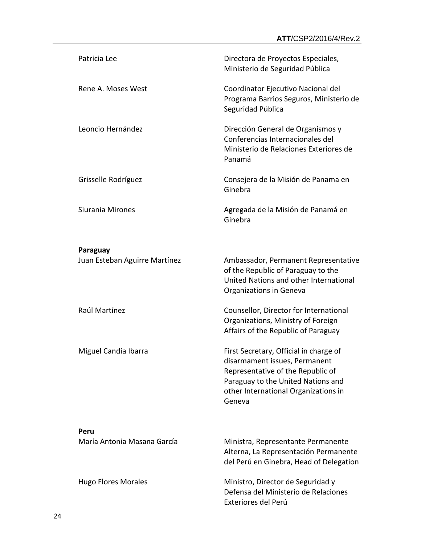| Patricia Lee                              | Directora de Proyectos Especiales,<br>Ministerio de Seguridad Pública                                                                                                                                |
|-------------------------------------------|------------------------------------------------------------------------------------------------------------------------------------------------------------------------------------------------------|
| Rene A. Moses West                        | Coordinator Ejecutivo Nacional del<br>Programa Barrios Seguros, Ministerio de<br>Seguridad Pública                                                                                                   |
| Leoncio Hernández                         | Dirección General de Organismos y<br>Conferencias Internacionales del<br>Ministerio de Relaciones Exteriores de<br>Panamá                                                                            |
| Grisselle Rodríguez                       | Consejera de la Misión de Panama en<br>Ginebra                                                                                                                                                       |
| Siurania Mirones                          | Agregada de la Misión de Panamá en<br>Ginebra                                                                                                                                                        |
|                                           |                                                                                                                                                                                                      |
| Paraguay<br>Juan Esteban Aguirre Martínez | Ambassador, Permanent Representative<br>of the Republic of Paraguay to the<br>United Nations and other International<br>Organizations in Geneva                                                      |
| Raúl Martínez                             | Counsellor, Director for International<br>Organizations, Ministry of Foreign<br>Affairs of the Republic of Paraguay                                                                                  |
| Miguel Candia Ibarra                      | First Secretary, Official in charge of<br>disarmament issues, Permanent<br>Representative of the Republic of<br>Paraguay to the United Nations and<br>other International Organizations in<br>Geneva |
| Peru                                      |                                                                                                                                                                                                      |
| María Antonia Masana García               | Ministra, Representante Permanente<br>Alterna, La Representación Permanente<br>del Perú en Ginebra, Head of Delegation                                                                               |
| <b>Hugo Flores Morales</b>                | Ministro, Director de Seguridad y<br>Defensa del Ministerio de Relaciones                                                                                                                            |

Exteriores del Perú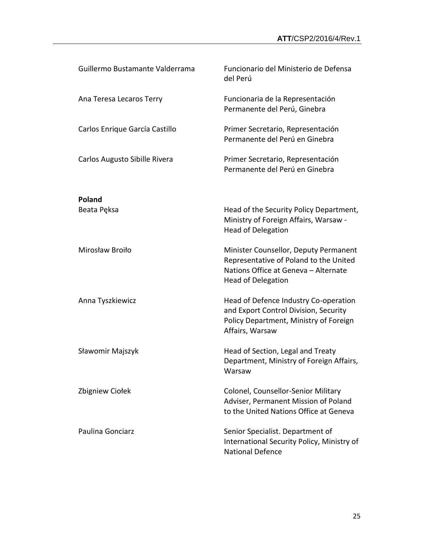| Guillermo Bustamante Valderrama | Funcionario del Ministerio de Defensa<br>del Perú                                                                                                    |
|---------------------------------|------------------------------------------------------------------------------------------------------------------------------------------------------|
| Ana Teresa Lecaros Terry        | Funcionaria de la Representación<br>Permanente del Perú, Ginebra                                                                                     |
| Carlos Enrique García Castillo  | Primer Secretario, Representación<br>Permanente del Perú en Ginebra                                                                                  |
| Carlos Augusto Sibille Rivera   | Primer Secretario, Representación<br>Permanente del Perú en Ginebra                                                                                  |
|                                 |                                                                                                                                                      |
| <b>Poland</b><br>Beata Pęksa    | Head of the Security Policy Department,<br>Ministry of Foreign Affairs, Warsaw -<br><b>Head of Delegation</b>                                        |
| Mirosław Broiło                 | Minister Counsellor, Deputy Permanent<br>Representative of Poland to the United<br>Nations Office at Geneva - Alternate<br><b>Head of Delegation</b> |
| Anna Tyszkiewicz                | Head of Defence Industry Co-operation<br>and Export Control Division, Security<br>Policy Department, Ministry of Foreign<br>Affairs, Warsaw          |
| Sławomir Majszyk                | Head of Section, Legal and Treaty<br>Department, Ministry of Foreign Affairs,<br>Warsaw                                                              |
| Zbigniew Ciołek                 | Colonel, Counsellor-Senior Military<br>Adviser, Permanent Mission of Poland<br>to the United Nations Office at Geneva                                |
| Paulina Gonciarz                | Senior Specialist. Department of<br>International Security Policy, Ministry of<br><b>National Defence</b>                                            |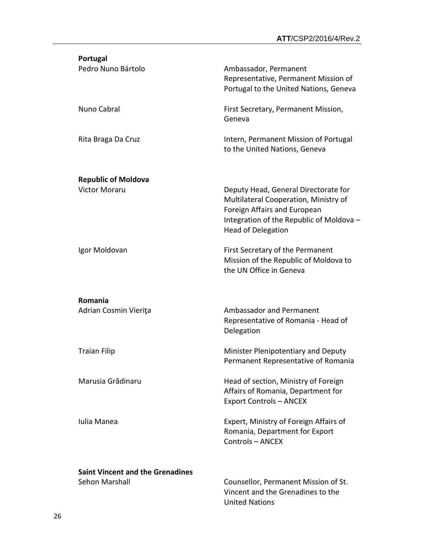| Portugal                                |                                                                                                                                                                                        |
|-----------------------------------------|----------------------------------------------------------------------------------------------------------------------------------------------------------------------------------------|
| Pedro Nuno Bártolo                      | Ambassador, Permanent<br>Representative, Permanent Mission of<br>Portugal to the United Nations, Geneva                                                                                |
| Nuno Cabral                             | First Secretary, Permanent Mission,<br>Geneva                                                                                                                                          |
| Rita Braga Da Cruz                      | Intern, Permanent Mission of Portugal<br>to the United Nations, Geneva                                                                                                                 |
| <b>Republic of Moldova</b>              |                                                                                                                                                                                        |
| <b>Victor Moraru</b>                    | Deputy Head, General Directorate for<br>Multilateral Cooperation, Ministry of<br>Foreign Affairs and European<br>Integration of the Republic of Moldova -<br><b>Head of Delegation</b> |
| Igor Moldovan                           | First Secretary of the Permanent<br>Mission of the Republic of Moldova to<br>the UN Office in Geneva                                                                                   |
| Romania                                 |                                                                                                                                                                                        |
| Adrian Cosmin Vierița                   | Ambassador and Permanent<br>Representative of Romania - Head of<br>Delegation                                                                                                          |
| <b>Traian Filip</b>                     | Minister Plenipotentiary and Deputy<br>Permanent Representative of Romania                                                                                                             |
| Marusia Grădinaru                       | Head of section, Ministry of Foreign<br>Affairs of Romania, Department for<br><b>Export Controls - ANCEX</b>                                                                           |
| Iulia Manea                             | Expert, Ministry of Foreign Affairs of<br>Romania, Department for Export<br>Controls - ANCEX                                                                                           |
| <b>Saint Vincent and the Grenadines</b> |                                                                                                                                                                                        |
| Sehon Marshall                          | Counsellor, Permanent Mission of St.<br>Vincent and the Grenadines to the<br><b>United Nations</b>                                                                                     |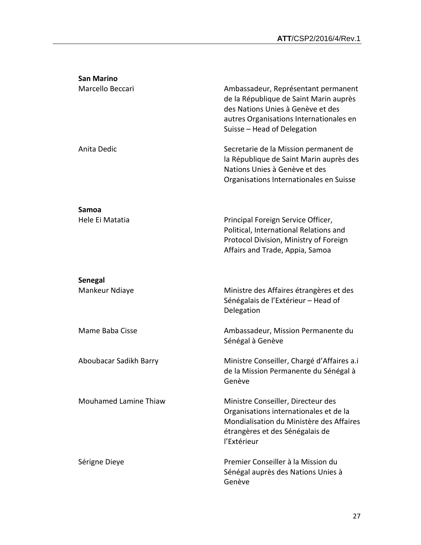| <b>San Marino</b>                |                                                                                                                                                                                              |
|----------------------------------|----------------------------------------------------------------------------------------------------------------------------------------------------------------------------------------------|
| Marcello Beccari                 | Ambassadeur, Représentant permanent<br>de la République de Saint Marin auprès<br>des Nations Unies à Genève et des<br>autres Organisations Internationales en<br>Suisse - Head of Delegation |
| Anita Dedic                      | Secretarie de la Mission permanent de<br>la République de Saint Marin auprès des<br>Nations Unies à Genève et des<br>Organisations Internationales en Suisse                                 |
| Samoa<br>Hele Ei Matatia         | Principal Foreign Service Officer,<br>Political, International Relations and<br>Protocol Division, Ministry of Foreign<br>Affairs and Trade, Appia, Samoa                                    |
|                                  |                                                                                                                                                                                              |
| <b>Senegal</b><br>Mankeur Ndiaye | Ministre des Affaires étrangères et des<br>Sénégalais de l'Extérieur - Head of<br>Delegation                                                                                                 |
| Mame Baba Cisse                  | Ambassadeur, Mission Permanente du<br>Sénégal à Genève                                                                                                                                       |
| Aboubacar Sadikh Barry           | Ministre Conseiller, Chargé d'Affaires a.i<br>de la Mission Permanente du Sénégal à<br>Genève                                                                                                |
| <b>Mouhamed Lamine Thiaw</b>     | Ministre Conseiller, Directeur des<br>Organisations internationales et de la<br>Mondialisation du Ministère des Affaires<br>étrangères et des Sénégalais de<br>l'Extérieur                   |
| Sérigne Dieye                    | Premier Conseiller à la Mission du<br>Sénégal auprès des Nations Unies à<br>Genève                                                                                                           |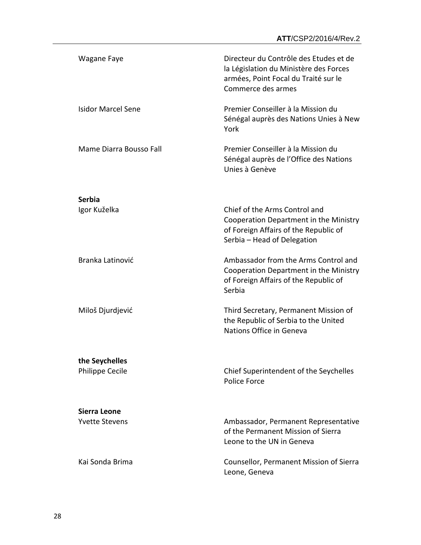| Wagane Faye                       | Directeur du Contrôle des Etudes et de<br>la Législation du Ministère des Forces<br>armées, Point Focal du Traité sur le<br>Commerce des armes  |
|-----------------------------------|-------------------------------------------------------------------------------------------------------------------------------------------------|
| <b>Isidor Marcel Sene</b>         | Premier Conseiller à la Mission du<br>Sénégal auprès des Nations Unies à New<br>York                                                            |
| Mame Diarra Bousso Fall           | Premier Conseiller à la Mission du<br>Sénégal auprès de l'Office des Nations<br>Unies à Genève                                                  |
| <b>Serbia</b>                     |                                                                                                                                                 |
| Igor Kuželka                      | Chief of the Arms Control and<br>Cooperation Department in the Ministry<br>of Foreign Affairs of the Republic of<br>Serbia - Head of Delegation |
| Branka Latinović                  | Ambassador from the Arms Control and<br>Cooperation Department in the Ministry<br>of Foreign Affairs of the Republic of<br>Serbia               |
| Miloš Djurdjević                  | Third Secretary, Permanent Mission of<br>the Republic of Serbia to the United<br>Nations Office in Geneva                                       |
| the Seychelles<br>Philippe Cecile | Chief Superintendent of the Seychelles<br><b>Police Force</b>                                                                                   |
| Sierra Leone                      |                                                                                                                                                 |
| <b>Yvette Stevens</b>             | Ambassador, Permanent Representative<br>of the Permanent Mission of Sierra<br>Leone to the UN in Geneva                                         |
| Kai Sonda Brima                   | Counsellor, Permanent Mission of Sierra<br>Leone, Geneva                                                                                        |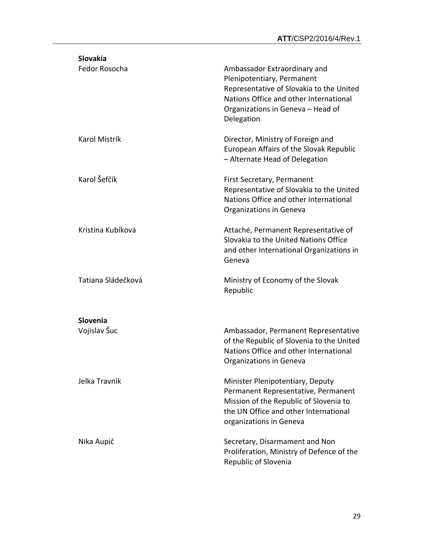| Slovakia                 |                                                                                                                                                                                                     |
|--------------------------|-----------------------------------------------------------------------------------------------------------------------------------------------------------------------------------------------------|
| Fedor Rosocha            | Ambassador Extraordinary and<br>Plenipotentiary, Permanent<br>Representative of Slovakia to the United<br>Nations Office and other International<br>Organizations in Geneva - Head of<br>Delegation |
| Karol Mistrík            | Director, Ministry of Foreign and<br>European Affairs of the Slovak Republic<br>- Alternate Head of Delegation                                                                                      |
| Karol Šefčík             | <b>First Secretary, Permanent</b><br>Representative of Slovakia to the United<br>Nations Office and other International<br>Organizations in Geneva                                                  |
| Kristina Kubíková        | Attaché, Permanent Representative of<br>Slovakia to the United Nations Office<br>and other International Organizations in<br>Geneva                                                                 |
| Tatiana Sládečková       | Ministry of Economy of the Slovak<br>Republic                                                                                                                                                       |
| Slovenia<br>Vojislav Šuc | Ambassador, Permanent Representative<br>of the Republic of Slovenia to the United<br>Nations Office and other International<br>Organizations in Geneva                                              |
| Jelka Travnik            | Minister Plenipotentiary, Deputy<br>Permanent Representative, Permanent<br>Mission of the Republic of Slovenia to<br>the UN Office and other International<br>organizations in Geneva               |
| Nika Aupič               | Secretary, Disarmament and Non<br>Proliferation, Ministry of Defence of the<br>Republic of Slovenia                                                                                                 |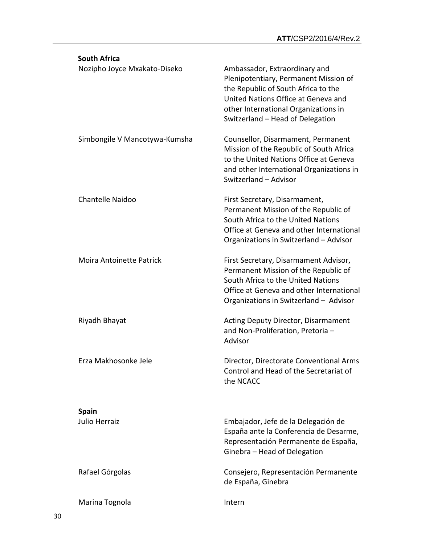| <b>South Africa</b>             |                                                                                                                                                                                                                                  |
|---------------------------------|----------------------------------------------------------------------------------------------------------------------------------------------------------------------------------------------------------------------------------|
| Nozipho Joyce Mxakato-Diseko    | Ambassador, Extraordinary and<br>Plenipotentiary, Permanent Mission of<br>the Republic of South Africa to the<br>United Nations Office at Geneva and<br>other International Organizations in<br>Switzerland - Head of Delegation |
| Simbongile V Mancotywa-Kumsha   | Counsellor, Disarmament, Permanent<br>Mission of the Republic of South Africa<br>to the United Nations Office at Geneva<br>and other International Organizations in<br>Switzerland - Advisor                                     |
| <b>Chantelle Naidoo</b>         | First Secretary, Disarmament,<br>Permanent Mission of the Republic of<br>South Africa to the United Nations<br>Office at Geneva and other International<br>Organizations in Switzerland - Advisor                                |
| <b>Moira Antoinette Patrick</b> | First Secretary, Disarmament Advisor,<br>Permanent Mission of the Republic of<br>South Africa to the United Nations<br>Office at Geneva and other International<br>Organizations in Switzerland - Advisor                        |
| Riyadh Bhayat                   | <b>Acting Deputy Director, Disarmament</b><br>and Non-Proliferation, Pretoria-<br>Advisor                                                                                                                                        |
| Erza Makhosonke Jele            | Director, Directorate Conventional Arms<br>Control and Head of the Secretariat of<br>the NCACC                                                                                                                                   |
| <b>Spain</b>                    |                                                                                                                                                                                                                                  |
| Julio Herraiz                   | Embajador, Jefe de la Delegación de<br>España ante la Conferencia de Desarme,<br>Representación Permanente de España,<br>Ginebra - Head of Delegation                                                                            |
| Rafael Górgolas                 | Consejero, Representación Permanente<br>de España, Ginebra                                                                                                                                                                       |
| Marina Tognola                  | Intern                                                                                                                                                                                                                           |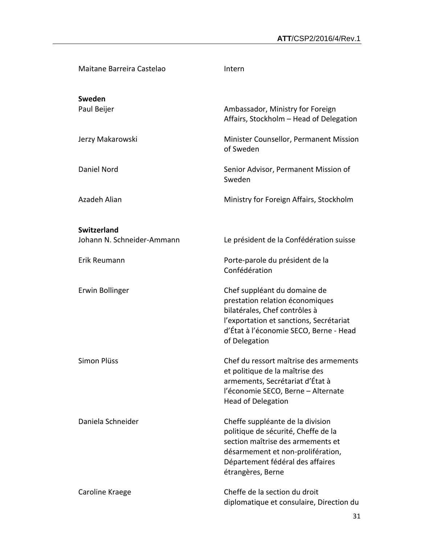| Maitane Barreira Castelao                        | Intern                                                                                                                                                                                                     |
|--------------------------------------------------|------------------------------------------------------------------------------------------------------------------------------------------------------------------------------------------------------------|
| Sweden<br>Paul Beijer                            | Ambassador, Ministry for Foreign<br>Affairs, Stockholm - Head of Delegation                                                                                                                                |
| Jerzy Makarowski                                 | Minister Counsellor, Permanent Mission<br>of Sweden                                                                                                                                                        |
| Daniel Nord                                      | Senior Advisor, Permanent Mission of<br>Sweden                                                                                                                                                             |
| Azadeh Alian                                     | Ministry for Foreign Affairs, Stockholm                                                                                                                                                                    |
|                                                  |                                                                                                                                                                                                            |
| <b>Switzerland</b><br>Johann N. Schneider-Ammann | Le président de la Confédération suisse                                                                                                                                                                    |
| Erik Reumann                                     | Porte-parole du président de la<br>Confédération                                                                                                                                                           |
| Erwin Bollinger                                  | Chef suppléant du domaine de<br>prestation relation économiques<br>bilatérales, Chef contrôles à<br>l'exportation et sanctions, Secrétariat<br>d'État à l'économie SECO, Berne - Head<br>of Delegation     |
| Simon Plüss                                      | Chef du ressort maîtrise des armements<br>et politique de la maîtrise des<br>armements, Secrétariat d'État à<br>l'économie SECO, Berne - Alternate<br><b>Head of Delegation</b>                            |
| Daniela Schneider                                | Cheffe suppléante de la division<br>politique de sécurité, Cheffe de la<br>section maîtrise des armements et<br>désarmement et non-prolifération,<br>Département fédéral des affaires<br>étrangères, Berne |
| Caroline Kraege                                  | Cheffe de la section du droit<br>diplomatique et consulaire, Direction du                                                                                                                                  |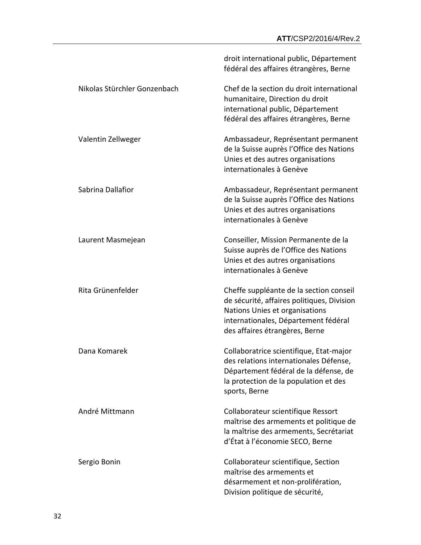|                              | droit international public, Département<br>fédéral des affaires étrangères, Berne                                                                                                                 |
|------------------------------|---------------------------------------------------------------------------------------------------------------------------------------------------------------------------------------------------|
| Nikolas Stürchler Gonzenbach | Chef de la section du droit international<br>humanitaire, Direction du droit<br>international public, Département<br>fédéral des affaires étrangères, Berne                                       |
| Valentin Zellweger           | Ambassadeur, Représentant permanent<br>de la Suisse auprès l'Office des Nations<br>Unies et des autres organisations<br>internationales à Genève                                                  |
| Sabrina Dallafior            | Ambassadeur, Représentant permanent<br>de la Suisse auprès l'Office des Nations<br>Unies et des autres organisations<br>internationales à Genève                                                  |
| Laurent Masmejean            | Conseiller, Mission Permanente de la<br>Suisse auprès de l'Office des Nations<br>Unies et des autres organisations<br>internationales à Genève                                                    |
| Rita Grünenfelder            | Cheffe suppléante de la section conseil<br>de sécurité, affaires politiques, Division<br>Nations Unies et organisations<br>internationales, Département fédéral<br>des affaires étrangères, Berne |
| Dana Komarek                 | Collaboratrice scientifique, Etat-major<br>des relations internationales Défense,<br>Département fédéral de la défense, de<br>la protection de la population et des<br>sports, Berne              |
| André Mittmann               | Collaborateur scientifique Ressort<br>maîtrise des armements et politique de<br>la maîtrise des armements, Secrétariat<br>d'État à l'économie SECO, Berne                                         |
| Sergio Bonin                 | Collaborateur scientifique, Section<br>maîtrise des armements et<br>désarmement et non-prolifération,<br>Division politique de sécurité,                                                          |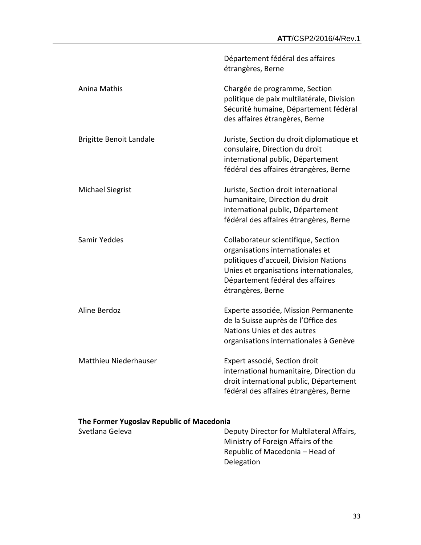|                                | Département fédéral des affaires<br>étrangères, Berne                                                                                                                                                                 |
|--------------------------------|-----------------------------------------------------------------------------------------------------------------------------------------------------------------------------------------------------------------------|
| Anina Mathis                   | Chargée de programme, Section<br>politique de paix multilatérale, Division<br>Sécurité humaine, Département fédéral<br>des affaires étrangères, Berne                                                                 |
| <b>Brigitte Benoit Landale</b> | Juriste, Section du droit diplomatique et<br>consulaire, Direction du droit<br>international public, Département<br>fédéral des affaires étrangères, Berne                                                            |
| <b>Michael Siegrist</b>        | Juriste, Section droit international<br>humanitaire, Direction du droit<br>international public, Département<br>fédéral des affaires étrangères, Berne                                                                |
| Samir Yeddes                   | Collaborateur scientifique, Section<br>organisations internationales et<br>politiques d'accueil, Division Nations<br>Unies et organisations internationales,<br>Département fédéral des affaires<br>étrangères, Berne |
| Aline Berdoz                   | Experte associée, Mission Permanente<br>de la Suisse auprès de l'Office des<br>Nations Unies et des autres<br>organisations internationales à Genève                                                                  |
| Matthieu Niederhauser          | Expert associé, Section droit<br>international humanitaire, Direction du<br>droit international public, Département<br>fédéral des affaires étrangères, Berne                                                         |
|                                |                                                                                                                                                                                                                       |

## **The Former Yugoslav Republic of Macedonia**

Svetlana Geleva **Deputy Director for Multilateral Affairs**, Ministry of Foreign Affairs of the Republic of Macedonia – Head of Delegation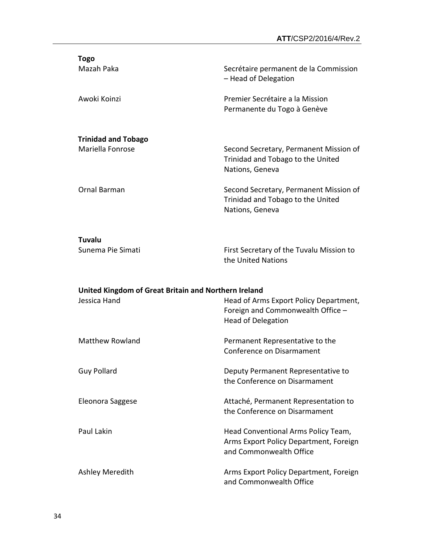| <b>Togo</b>                                          |                                                                                                          |
|------------------------------------------------------|----------------------------------------------------------------------------------------------------------|
| Mazah Paka                                           | Secrétaire permanent de la Commission<br>- Head of Delegation                                            |
| Awoki Koinzi                                         | Premier Secrétaire a la Mission<br>Permanente du Togo à Genève                                           |
| <b>Trinidad and Tobago</b>                           |                                                                                                          |
| Mariella Fonrose                                     | Second Secretary, Permanent Mission of<br>Trinidad and Tobago to the United<br>Nations, Geneva           |
| Ornal Barman                                         | Second Secretary, Permanent Mission of<br>Trinidad and Tobago to the United<br>Nations, Geneva           |
| <b>Tuvalu</b>                                        |                                                                                                          |
| Sunema Pie Simati                                    | First Secretary of the Tuvalu Mission to<br>the United Nations                                           |
| United Kingdom of Great Britain and Northern Ireland |                                                                                                          |
| Jessica Hand                                         | Head of Arms Export Policy Department,<br>Foreign and Commonwealth Office -<br><b>Head of Delegation</b> |
| <b>Matthew Rowland</b>                               | Permanent Representative to the<br>Conference on Disarmament                                             |
| <b>Guy Pollard</b>                                   | Deputy Permanent Representative to<br>the Conference on Disarmament                                      |
| Eleonora Saggese                                     | Attaché, Permanent Representation to<br>the Conference on Disarmament                                    |
| Paul Lakin                                           | Head Conventional Arms Policy Team,<br>Arms Export Policy Department, Foreign<br>and Commonwealth Office |

Ashley Meredith **Arms Export Policy Department, Foreign** and Commonwealth Office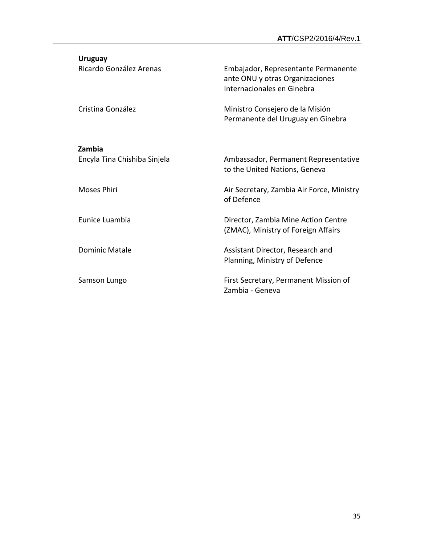| <b>Uruguay</b>               |                                                                                                      |
|------------------------------|------------------------------------------------------------------------------------------------------|
| Ricardo González Arenas      | Embajador, Representante Permanente<br>ante ONU y otras Organizaciones<br>Internacionales en Ginebra |
| Cristina González            | Ministro Consejero de la Misión<br>Permanente del Uruguay en Ginebra                                 |
| Zambia                       |                                                                                                      |
| Encyla Tina Chishiba Sinjela | Ambassador, Permanent Representative<br>to the United Nations, Geneva                                |
| <b>Moses Phiri</b>           | Air Secretary, Zambia Air Force, Ministry<br>of Defence                                              |
| Eunice Luambia               | Director, Zambia Mine Action Centre<br>(ZMAC), Ministry of Foreign Affairs                           |
| <b>Dominic Matale</b>        | Assistant Director, Research and<br>Planning, Ministry of Defence                                    |
| Samson Lungo                 | First Secretary, Permanent Mission of<br>Zambia - Geneva                                             |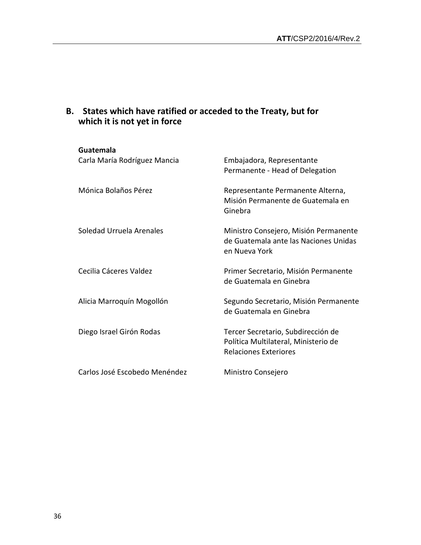| Guatemala<br>Carla María Rodríguez Mancia | Embajadora, Representante<br>Permanente - Head of Delegation                                               |
|-------------------------------------------|------------------------------------------------------------------------------------------------------------|
| Mónica Bolaños Pérez                      | Representante Permanente Alterna,<br>Misión Permanente de Guatemala en<br>Ginebra                          |
| Soledad Urruela Arenales                  | Ministro Consejero, Misión Permanente<br>de Guatemala ante las Naciones Unidas<br>en Nueva York            |
| Cecilia Cáceres Valdez                    | Primer Secretario, Misión Permanente<br>de Guatemala en Ginebra                                            |
| Alicia Marroquín Mogollón                 | Segundo Secretario, Misión Permanente<br>de Guatemala en Ginebra                                           |
| Diego Israel Girón Rodas                  | Tercer Secretario, Subdirección de<br>Política Multilateral, Ministerio de<br><b>Relaciones Exteriores</b> |
| Carlos José Escobedo Menéndez             | Ministro Consejero                                                                                         |

## **B. States which have ratified or acceded to the Treaty, but for which it is not yet in force**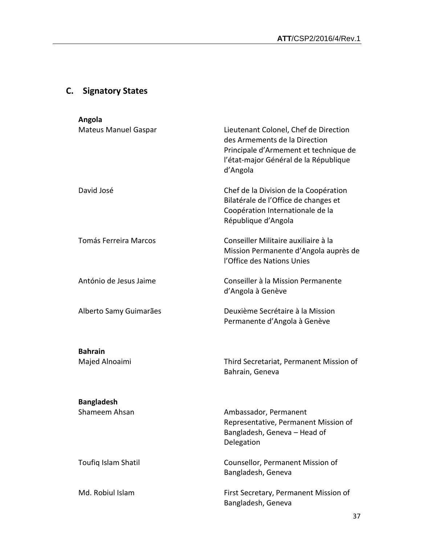## **C. Signatory States**

| Angola                             |                                                                                                                                                                      |
|------------------------------------|----------------------------------------------------------------------------------------------------------------------------------------------------------------------|
| <b>Mateus Manuel Gaspar</b>        | Lieutenant Colonel, Chef de Direction<br>des Armements de la Direction<br>Principale d'Armement et technique de<br>l'état-major Général de la République<br>d'Angola |
| David José                         | Chef de la Division de la Coopération<br>Bilatérale de l'Office de changes et<br>Coopération Internationale de la<br>République d'Angola                             |
| <b>Tomás Ferreira Marcos</b>       | Conseiller Militaire auxiliaire à la<br>Mission Permanente d'Angola auprès de<br>l'Office des Nations Unies                                                          |
| António de Jesus Jaime             | Conseiller à la Mission Permanente<br>d'Angola à Genève                                                                                                              |
| Alberto Samy Guimarães             | Deuxième Secrétaire à la Mission<br>Permanente d'Angola à Genève                                                                                                     |
| <b>Bahrain</b><br>Majed Alnoaimi   | Third Secretariat, Permanent Mission of<br>Bahrain, Geneva                                                                                                           |
| <b>Bangladesh</b><br>Shameem Ahsan | Ambassador, Permanent<br>Representative, Permanent Mission of<br>Bangladesh, Geneva - Head of<br>Delegation                                                          |
| Toufiq Islam Shatil                | Counsellor, Permanent Mission of<br>Bangladesh, Geneva                                                                                                               |
| Md. Robiul Islam                   | First Secretary, Permanent Mission of<br>Bangladesh, Geneva                                                                                                          |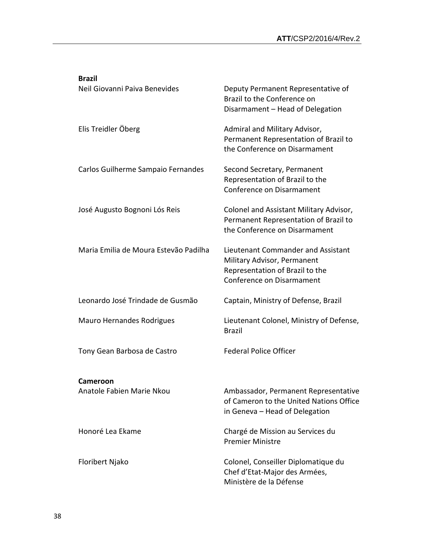| <b>Brazil</b>                         |                                                                                                                                   |
|---------------------------------------|-----------------------------------------------------------------------------------------------------------------------------------|
| Neil Giovanni Paiva Benevides         | Deputy Permanent Representative of<br>Brazil to the Conference on<br>Disarmament - Head of Delegation                             |
| Elis Treidler Öberg                   | Admiral and Military Advisor,<br>Permanent Representation of Brazil to<br>the Conference on Disarmament                           |
| Carlos Guilherme Sampaio Fernandes    | Second Secretary, Permanent<br>Representation of Brazil to the<br>Conference on Disarmament                                       |
| José Augusto Bognoni Lós Reis         | Colonel and Assistant Military Advisor,<br>Permanent Representation of Brazil to<br>the Conference on Disarmament                 |
| Maria Emilia de Moura Estevão Padilha | Lieutenant Commander and Assistant<br>Military Advisor, Permanent<br>Representation of Brazil to the<br>Conference on Disarmament |
| Leonardo José Trindade de Gusmão      | Captain, Ministry of Defense, Brazil                                                                                              |
| <b>Mauro Hernandes Rodrigues</b>      | Lieutenant Colonel, Ministry of Defense,<br><b>Brazil</b>                                                                         |
| Tony Gean Barbosa de Castro           | <b>Federal Police Officer</b>                                                                                                     |
| Cameroon                              |                                                                                                                                   |
| Anatole Fabien Marie Nkou             | Ambassador, Permanent Representative<br>of Cameron to the United Nations Office<br>in Geneva - Head of Delegation                 |
| Honoré Lea Ekame                      | Chargé de Mission au Services du<br><b>Premier Ministre</b>                                                                       |
| Floribert Njako                       | Colonel, Conseiller Diplomatique du<br>Chef d'Etat-Major des Armées,<br>Ministère de la Défense                                   |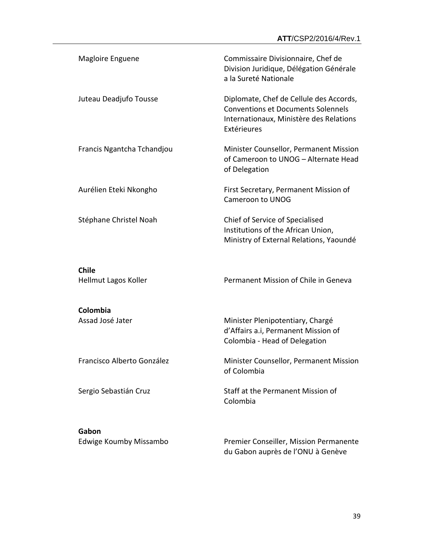| Magloire Enguene                     | Commissaire Divisionnaire, Chef de<br>Division Juridique, Délégation Générale<br>a la Sureté Nationale                                         |
|--------------------------------------|------------------------------------------------------------------------------------------------------------------------------------------------|
| Juteau Deadjufo Tousse               | Diplomate, Chef de Cellule des Accords,<br><b>Conventions et Documents Solennels</b><br>Internationaux, Ministère des Relations<br>Extérieures |
| Francis Ngantcha Tchandjou           | Minister Counsellor, Permanent Mission<br>of Cameroon to UNOG - Alternate Head<br>of Delegation                                                |
| Aurélien Eteki Nkongho               | First Secretary, Permanent Mission of<br>Cameroon to UNOG                                                                                      |
| Stéphane Christel Noah               | Chief of Service of Specialised<br>Institutions of the African Union,<br>Ministry of External Relations, Yaoundé                               |
| <b>Chile</b><br>Hellmut Lagos Koller | Permanent Mission of Chile in Geneva                                                                                                           |
| Colombia<br>Assad José Jater         | Minister Plenipotentiary, Chargé<br>d'Affairs a.i, Permanent Mission of<br>Colombia - Head of Delegation                                       |
| Francisco Alberto González           | Minister Counsellor, Permanent Mission<br>of Colombia                                                                                          |
| Sergio Sebastián Cruz                | Staff at the Permanent Mission of<br>Colombia                                                                                                  |
| Gabon<br>Edwige Koumby Missambo      | Premier Conseiller, Mission Permanente                                                                                                         |

du Gabon auprès de l'ONU à Genève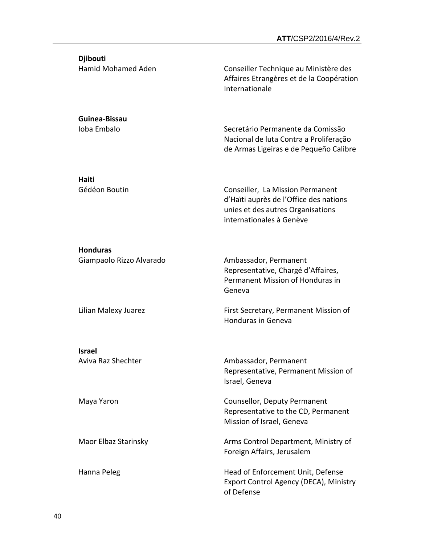**Djibouti**

Hamid Mohamed Aden Conseiller Technique au Ministère des Affaires Etrangères et de la Coopération Internationale

Ioba Embalo Secretário Permanente da Comissão Nacional de luta Contra a Proliferação de Armas Ligeiras e de Pequeño Calibre

**Haiti**

**Guinea-Bissau**

Gédéon Boutin **Conseiller, La Mission Permanent** d'Haïti auprès de l'Office des nations unies et des autres Organisations internationales à Genève

#### **Honduras**

Giampaolo Rizzo Alvarado Manuel Ambassador, Permanent

Representative, Chargé d'Affaires, Permanent Mission of Honduras in Geneva

Lilian Malexy Juarez **First Secretary, Permanent Mission of** Honduras in Geneva

**Israel**

Aviva Raz Shechter **Ambassador**, Permanent Representative, Permanent Mission of Israel, Geneva

Maya Yaron Counsellor, Deputy Permanent Representative to the CD, Permanent Mission of Israel, Geneva

Maor Elbaz Starinsky **Arms Control Department, Ministry of** Foreign Affairs, Jerusalem

Hanna Peleg Hanna Peleg Head of Enforcement Unit, Defense Export Control Agency (DECA), Ministry of Defense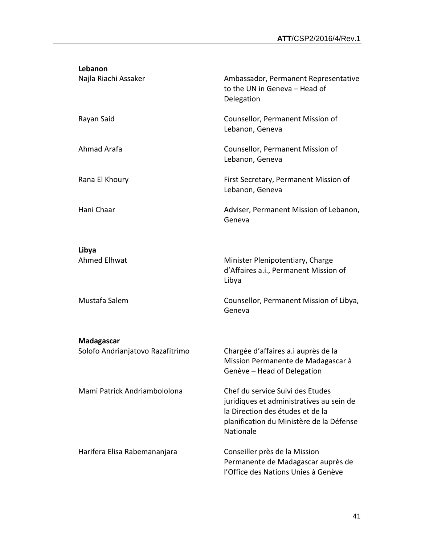| Lebanon                          |                                                                                                                                                                           |
|----------------------------------|---------------------------------------------------------------------------------------------------------------------------------------------------------------------------|
| Najla Riachi Assaker             | Ambassador, Permanent Representative<br>to the UN in Geneva - Head of<br>Delegation                                                                                       |
| Rayan Said                       | Counsellor, Permanent Mission of<br>Lebanon, Geneva                                                                                                                       |
| Ahmad Arafa                      | Counsellor, Permanent Mission of<br>Lebanon, Geneva                                                                                                                       |
| Rana El Khoury                   | First Secretary, Permanent Mission of<br>Lebanon, Geneva                                                                                                                  |
| Hani Chaar                       | Adviser, Permanent Mission of Lebanon,<br>Geneva                                                                                                                          |
| Libya                            |                                                                                                                                                                           |
| <b>Ahmed Elhwat</b>              | Minister Plenipotentiary, Charge<br>d'Affaires a.i., Permanent Mission of<br>Libya                                                                                        |
| Mustafa Salem                    | Counsellor, Permanent Mission of Libya,<br>Geneva                                                                                                                         |
| Madagascar                       |                                                                                                                                                                           |
| Solofo Andrianjatovo Razafitrimo | Chargée d'affaires a.i auprès de la<br>Mission Permanente de Madagascar à<br>Genève - Head of Delegation                                                                  |
| Mami Patrick Andriambololona     | Chef du service Suivi des Etudes<br>juridiques et administratives au sein de<br>la Direction des études et de la<br>planification du Ministère de la Défense<br>Nationale |
| Harifera Elisa Rabemananjara     | Conseiller près de la Mission<br>Permanente de Madagascar auprès de<br>l'Office des Nations Unies à Genève                                                                |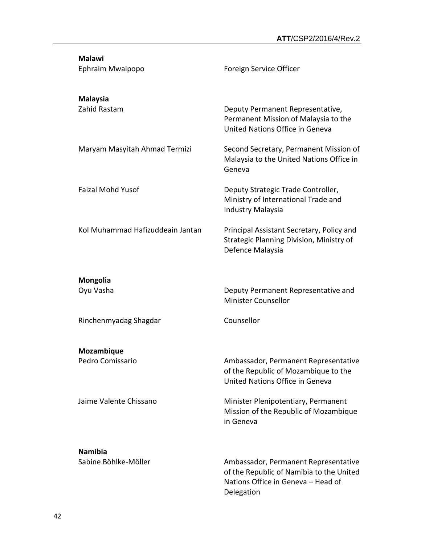| <b>Malawi</b><br>Ephraim Mwaipopo      | Foreign Service Officer                                                                                                |
|----------------------------------------|------------------------------------------------------------------------------------------------------------------------|
| <b>Malaysia</b><br>Zahid Rastam        | Deputy Permanent Representative,<br>Permanent Mission of Malaysia to the<br>United Nations Office in Geneva            |
| Maryam Masyitah Ahmad Termizi          | Second Secretary, Permanent Mission of<br>Malaysia to the United Nations Office in<br>Geneva                           |
| <b>Faizal Mohd Yusof</b>               | Deputy Strategic Trade Controller,<br>Ministry of International Trade and<br><b>Industry Malaysia</b>                  |
| Kol Muhammad Hafizuddeain Jantan       | Principal Assistant Secretary, Policy and<br>Strategic Planning Division, Ministry of<br>Defence Malaysia              |
| <b>Mongolia</b><br>Oyu Vasha           | Deputy Permanent Representative and<br><b>Minister Counsellor</b>                                                      |
| Rinchenmyadag Shagdar                  | Counsellor                                                                                                             |
| Mozambique<br>Pedro Comissario         | Ambassador, Permanent Representative<br>of the Republic of Mozambique to the<br>United Nations Office in Geneva        |
| Jaime Valente Chissano                 | Minister Plenipotentiary, Permanent<br>Mission of the Republic of Mozambique<br>in Geneva                              |
| <b>Namibia</b><br>Sabine Böhlke-Möller | Ambassador, Permanent Representative<br>of the Republic of Namibia to the United<br>Nations Office in Geneva - Head of |

Delegation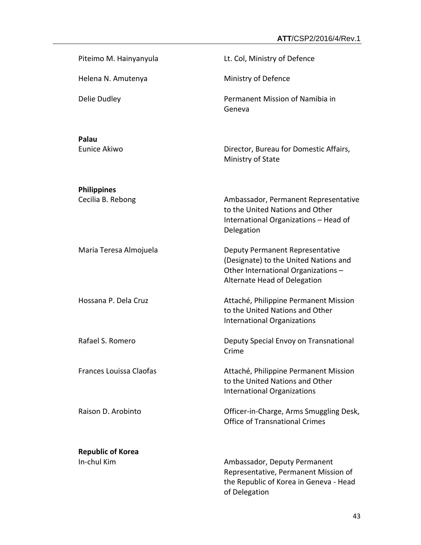| Piteimo M. Hainyanyula                  | Lt. Col, Ministry of Defence                                                                                                                    |
|-----------------------------------------|-------------------------------------------------------------------------------------------------------------------------------------------------|
| Helena N. Amutenya                      | Ministry of Defence                                                                                                                             |
| Delie Dudley                            | Permanent Mission of Namibia in<br>Geneva                                                                                                       |
| Palau<br>Eunice Akiwo                   | Director, Bureau for Domestic Affairs,<br>Ministry of State                                                                                     |
| <b>Philippines</b><br>Cecilia B. Rebong | Ambassador, Permanent Representative<br>to the United Nations and Other<br>International Organizations - Head of<br>Delegation                  |
| Maria Teresa Almojuela                  | Deputy Permanent Representative<br>(Designate) to the United Nations and<br>Other International Organizations -<br>Alternate Head of Delegation |
| Hossana P. Dela Cruz                    | Attaché, Philippine Permanent Mission<br>to the United Nations and Other<br><b>International Organizations</b>                                  |
| Rafael S. Romero                        | Deputy Special Envoy on Transnational<br>Crime                                                                                                  |
| Frances Louissa Claofas                 | Attaché, Philippine Permanent Mission<br>to the United Nations and Other<br><b>International Organizations</b>                                  |
| Raison D. Arobinto                      | Officer-in-Charge, Arms Smuggling Desk,<br><b>Office of Transnational Crimes</b>                                                                |
| <b>Republic of Korea</b><br>In-chul Kim | Ambassador, Deputy Permanent<br>Representative, Permanent Mission of                                                                            |
|                                         | the Republic of Korea in Geneva - Head                                                                                                          |

of Delegation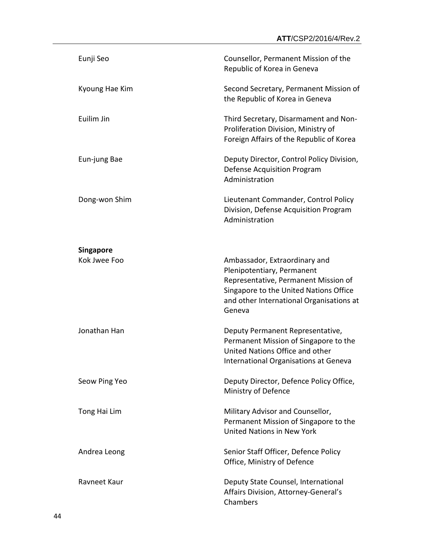| Eunji Seo                        | Counsellor, Permanent Mission of the<br>Republic of Korea in Geneva                                                                                                                                 |
|----------------------------------|-----------------------------------------------------------------------------------------------------------------------------------------------------------------------------------------------------|
| Kyoung Hae Kim                   | Second Secretary, Permanent Mission of<br>the Republic of Korea in Geneva                                                                                                                           |
| Euilim Jin                       | Third Secretary, Disarmament and Non-<br>Proliferation Division, Ministry of<br>Foreign Affairs of the Republic of Korea                                                                            |
| Eun-jung Bae                     | Deputy Director, Control Policy Division,<br>Defense Acquisition Program<br>Administration                                                                                                          |
| Dong-won Shim                    | Lieutenant Commander, Control Policy<br>Division, Defense Acquisition Program<br>Administration                                                                                                     |
| <b>Singapore</b><br>Kok Jwee Foo | Ambassador, Extraordinary and<br>Plenipotentiary, Permanent<br>Representative, Permanent Mission of<br>Singapore to the United Nations Office<br>and other International Organisations at<br>Geneva |
| Jonathan Han                     | Deputy Permanent Representative,<br>Permanent Mission of Singapore to the<br>United Nations Office and other<br>International Organisations at Geneva                                               |
| Seow Ping Yeo                    | Deputy Director, Defence Policy Office,<br>Ministry of Defence                                                                                                                                      |
| Tong Hai Lim                     | Military Advisor and Counsellor,<br>Permanent Mission of Singapore to the<br>United Nations in New York                                                                                             |
| Andrea Leong                     | Senior Staff Officer, Defence Policy<br>Office, Ministry of Defence                                                                                                                                 |
| Ravneet Kaur                     | Deputy State Counsel, International<br>Affairs Division, Attorney-General's<br>Chambers                                                                                                             |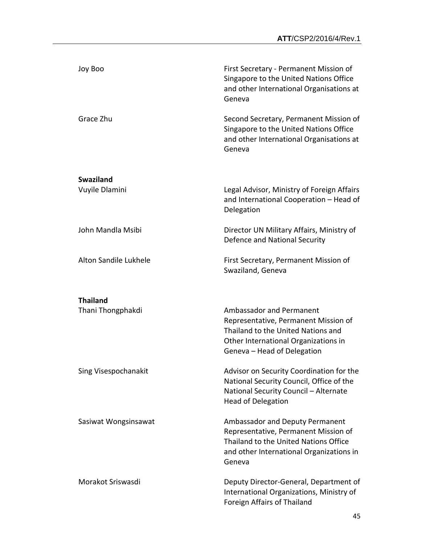| Joy Boo               | First Secretary - Permanent Mission of<br>Singapore to the United Nations Office<br>and other International Organisations at<br>Geneva                                        |
|-----------------------|-------------------------------------------------------------------------------------------------------------------------------------------------------------------------------|
| Grace Zhu             | Second Secretary, Permanent Mission of<br>Singapore to the United Nations Office<br>and other International Organisations at<br>Geneva                                        |
| <b>Swaziland</b>      |                                                                                                                                                                               |
| Vuyile Dlamini        | Legal Advisor, Ministry of Foreign Affairs<br>and International Cooperation - Head of<br>Delegation                                                                           |
| John Mandla Msibi     | Director UN Military Affairs, Ministry of<br>Defence and National Security                                                                                                    |
| Alton Sandile Lukhele | First Secretary, Permanent Mission of<br>Swaziland, Geneva                                                                                                                    |
| <b>Thailand</b>       |                                                                                                                                                                               |
| Thani Thongphakdi     | Ambassador and Permanent<br>Representative, Permanent Mission of<br>Thailand to the United Nations and<br>Other International Organizations in<br>Geneva - Head of Delegation |
| Sing Visespochanakit  | Advisor on Security Coordination for the<br>National Security Council, Office of the<br>National Security Council - Alternate<br><b>Head of Delegation</b>                    |
| Sasiwat Wongsinsawat  | Ambassador and Deputy Permanent<br>Representative, Permanent Mission of<br>Thailand to the United Nations Office<br>and other International Organizations in<br>Geneva        |
| Morakot Sriswasdi     | Deputy Director-General, Department of<br>International Organizations, Ministry of<br>Foreign Affairs of Thailand                                                             |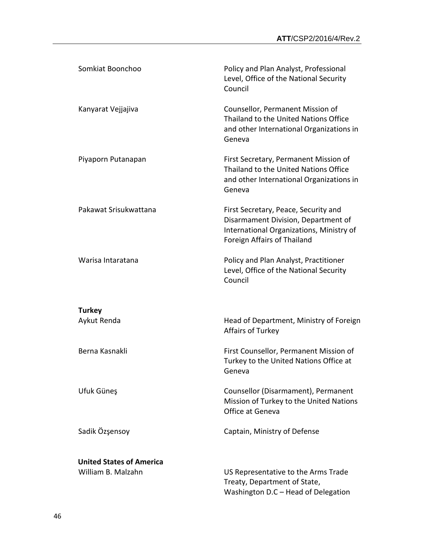| Somkiat Boonchoo                | Policy and Plan Analyst, Professional<br>Level, Office of the National Security<br>Council                                                             |
|---------------------------------|--------------------------------------------------------------------------------------------------------------------------------------------------------|
| Kanyarat Vejjajiva              | Counsellor, Permanent Mission of<br>Thailand to the United Nations Office<br>and other International Organizations in<br>Geneva                        |
| Piyaporn Putanapan              | First Secretary, Permanent Mission of<br>Thailand to the United Nations Office<br>and other International Organizations in<br>Geneva                   |
| Pakawat Srisukwattana           | First Secretary, Peace, Security and<br>Disarmament Division, Department of<br>International Organizations, Ministry of<br>Foreign Affairs of Thailand |
| Warisa Intaratana               | Policy and Plan Analyst, Practitioner<br>Level, Office of the National Security<br>Council                                                             |
| <b>Turkey</b>                   |                                                                                                                                                        |
| Aykut Renda                     | Head of Department, Ministry of Foreign<br>Affairs of Turkey                                                                                           |
| Berna Kasnakli                  | First Counsellor, Permanent Mission of<br>Turkey to the United Nations Office at<br>Geneva                                                             |
| Ufuk Güneş                      | Counsellor (Disarmament), Permanent<br>Mission of Turkey to the United Nations<br>Office at Geneva                                                     |
| Sadik Özşensoy                  | Captain, Ministry of Defense                                                                                                                           |
| <b>United States of America</b> |                                                                                                                                                        |
| William B. Malzahn              | US Representative to the Arms Trade<br>Treaty, Department of State,<br>Washington D.C - Head of Delegation                                             |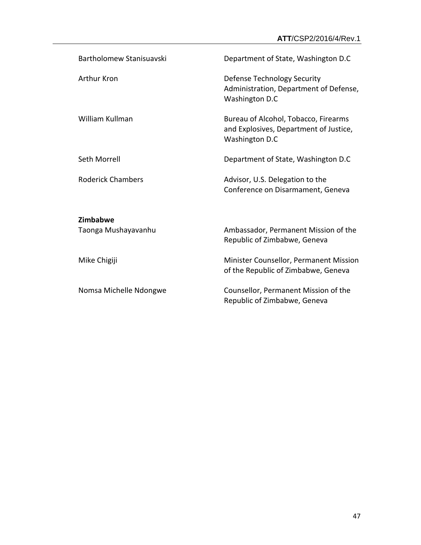| Bartholomew Stanisuavski | Department of State, Washington D.C                                                              |
|--------------------------|--------------------------------------------------------------------------------------------------|
| <b>Arthur Kron</b>       | Defense Technology Security<br>Administration, Department of Defense,<br>Washington D.C          |
| William Kullman          | Bureau of Alcohol, Tobacco, Firearms<br>and Explosives, Department of Justice,<br>Washington D.C |
| Seth Morrell             | Department of State, Washington D.C                                                              |
| <b>Roderick Chambers</b> | Advisor, U.S. Delegation to the<br>Conference on Disarmament, Geneva                             |
| Zimbabwe                 |                                                                                                  |
| Taonga Mushayavanhu      | Ambassador, Permanent Mission of the<br>Republic of Zimbabwe, Geneva                             |
| Mike Chigiji             | Minister Counsellor, Permanent Mission<br>of the Republic of Zimbabwe, Geneva                    |
| Nomsa Michelle Ndongwe   | Counsellor, Permanent Mission of the<br>Republic of Zimbabwe, Geneva                             |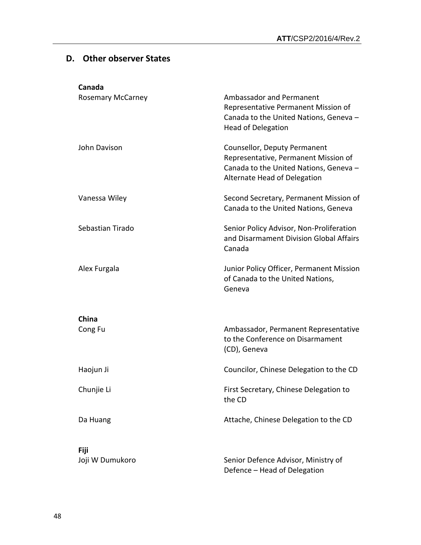## **D. Other observer States**

| Canada                         |                                                                                                                                                |
|--------------------------------|------------------------------------------------------------------------------------------------------------------------------------------------|
| <b>Rosemary McCarney</b>       | Ambassador and Permanent<br>Representative Permanent Mission of<br>Canada to the United Nations, Geneva -<br><b>Head of Delegation</b>         |
| John Davison                   | Counsellor, Deputy Permanent<br>Representative, Permanent Mission of<br>Canada to the United Nations, Geneva -<br>Alternate Head of Delegation |
| Vanessa Wiley                  | Second Secretary, Permanent Mission of<br>Canada to the United Nations, Geneva                                                                 |
| Sebastian Tirado               | Senior Policy Advisor, Non-Proliferation<br>and Disarmament Division Global Affairs<br>Canada                                                  |
| Alex Furgala                   | Junior Policy Officer, Permanent Mission<br>of Canada to the United Nations,<br>Geneva                                                         |
|                                |                                                                                                                                                |
| China<br>Cong Fu               | Ambassador, Permanent Representative<br>to the Conference on Disarmament<br>(CD), Geneva                                                       |
| Haojun Ji                      | Councilor, Chinese Delegation to the CD                                                                                                        |
| Chunjie Li                     | First Secretary, Chinese Delegation to<br>the CD                                                                                               |
| Da Huang                       | Attache, Chinese Delegation to the CD                                                                                                          |
|                                |                                                                                                                                                |
| <b>Fiji</b><br>Joji W Dumukoro | Senior Defence Advisor, Ministry of                                                                                                            |
|                                | Defence - Head of Delegation                                                                                                                   |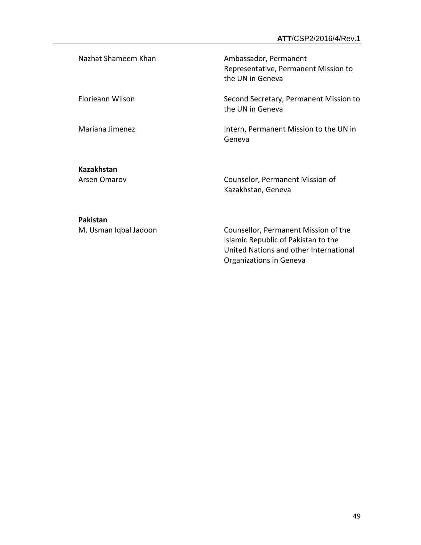Nazhat Shameem Khan Ambassador, Permanent Representative, Permanent Mission to the UN in Geneva Florieann Wilson Second Secretary, Permanent Mission to the UN in Geneva Mariana Jimenez **Intern, Permanent Mission to the UN** in Geneva

**Kazakhstan**

Arsen Omarov Counselor, Permanent Mission of Kazakhstan, Geneva

#### **Pakistan**

M. Usman Iqbal Jadoon Counsellor, Permanent Mission of the Islamic Republic of Pakistan to the United Nations and other International Organizations in Geneva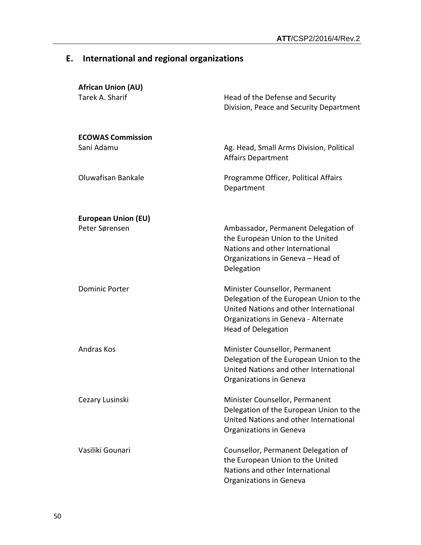## **E. International and regional organizations**

| <b>African Union (AU)</b><br>Tarek A. Sharif | Head of the Defense and Security<br>Division, Peace and Security Department                                                                                                             |
|----------------------------------------------|-----------------------------------------------------------------------------------------------------------------------------------------------------------------------------------------|
| <b>ECOWAS Commission</b><br>Sani Adamu       | Ag. Head, Small Arms Division, Political<br><b>Affairs Department</b>                                                                                                                   |
| Oluwafisan Bankale                           | Programme Officer, Political Affairs<br>Department                                                                                                                                      |
| <b>European Union (EU)</b>                   |                                                                                                                                                                                         |
| Peter Sørensen                               | Ambassador, Permanent Delegation of<br>the European Union to the United<br>Nations and other International<br>Organizations in Geneva - Head of<br>Delegation                           |
| <b>Dominic Porter</b>                        | Minister Counsellor, Permanent<br>Delegation of the European Union to the<br>United Nations and other International<br>Organizations in Geneva - Alternate<br><b>Head of Delegation</b> |
| Andras Kos                                   | Minister Counsellor, Permanent<br>Delegation of the European Union to the<br>United Nations and other International<br>Organizations in Geneva                                          |
| Cezary Lusinski                              | Minister Counsellor, Permanent<br>Delegation of the European Union to the<br>United Nations and other International<br>Organizations in Geneva                                          |
| Vasiliki Gounari                             | Counsellor, Permanent Delegation of<br>the European Union to the United<br>Nations and other International<br>Organizations in Geneva                                                   |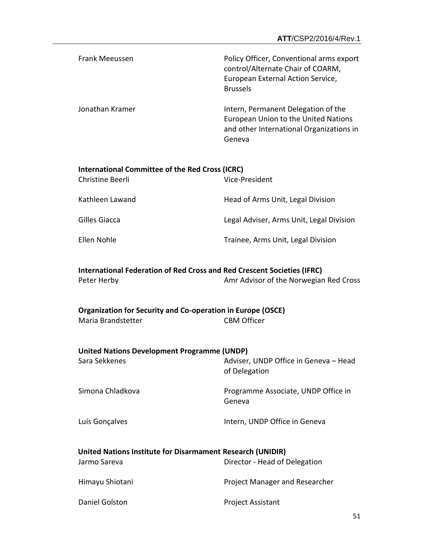| Frank Meeussen  | Policy Officer, Conventional arms export<br>control/Alternate Chair of COARM,<br>European External Action Service,<br><b>Brussels</b> |
|-----------------|---------------------------------------------------------------------------------------------------------------------------------------|
| Jonathan Kramer | Intern, Permanent Delegation of the<br>European Union to the United Nations<br>and other International Organizations in<br>Geneva     |

| International Committee of the Red Cross (ICRC) |                                          |
|-------------------------------------------------|------------------------------------------|
| Christine Beerli                                | Vice-President                           |
| Kathleen Lawand                                 | Head of Arms Unit, Legal Division        |
| Gilles Giacca                                   | Legal Adviser, Arms Unit, Legal Division |
| Ellen Nohle                                     | Trainee, Arms Unit, Legal Division       |

#### **International Federation of Red Cross and Red Crescent Societies (IFRC)** Peter Herby **Amr Advisor of the Norwegian Red Cross**

#### **Organization for Security and Co-operation in Europe (OSCE)** Maria Brandstetter CBM Officer

| <b>United Nations Development Programme (UNDP)</b> |                                       |
|----------------------------------------------------|---------------------------------------|
| Sara Sekkenes                                      | Adviser, UNDP Office in Geneva - Head |

Simona Chladkova **Programme Associate, UNDP Office in** Geneva

of Delegation

Luís Gonçalves **Intern**, UNDP Office in Geneva

### **United Nations Institute for Disarmament Research (UNIDIR)**

| Jarmo Sareva    | Director - Head of Delegation  |
|-----------------|--------------------------------|
| Himayu Shiotani | Project Manager and Researcher |
| Daniel Golston  | <b>Project Assistant</b>       |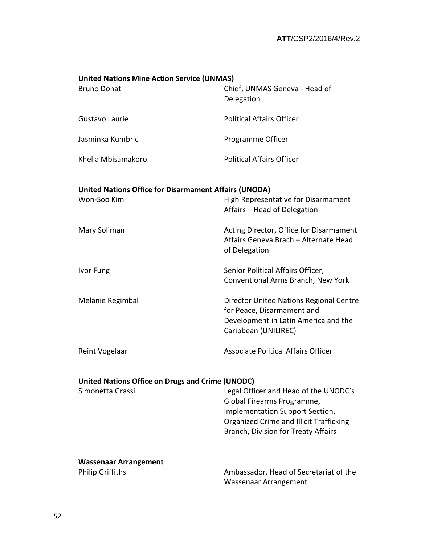| <b>United Nations Mine Action Service (UNMAS)</b><br><b>Bruno Donat</b>     | Chief, UNMAS Geneva - Head of<br>Delegation                                                                                                                                              |
|-----------------------------------------------------------------------------|------------------------------------------------------------------------------------------------------------------------------------------------------------------------------------------|
| Gustavo Laurie                                                              | <b>Political Affairs Officer</b>                                                                                                                                                         |
| Jasminka Kumbric                                                            | Programme Officer                                                                                                                                                                        |
| Khelia Mbisamakoro                                                          | <b>Political Affairs Officer</b>                                                                                                                                                         |
| <b>United Nations Office for Disarmament Affairs (UNODA)</b><br>Won-Soo Kim | High Representative for Disarmament<br>Affairs - Head of Delegation                                                                                                                      |
| Mary Soliman                                                                | Acting Director, Office for Disarmament<br>Affairs Geneva Brach - Alternate Head<br>of Delegation                                                                                        |
| Ivor Fung                                                                   | Senior Political Affairs Officer,<br>Conventional Arms Branch, New York                                                                                                                  |
| Melanie Regimbal                                                            | Director United Nations Regional Centre<br>for Peace, Disarmament and<br>Development in Latin America and the<br>Caribbean (UNILIREC)                                                    |
| Reint Vogelaar                                                              | <b>Associate Political Affairs Officer</b>                                                                                                                                               |
| <b>United Nations Office on Drugs and Crime (UNODC)</b><br>Simonetta Grassi | Legal Officer and Head of the UNODC's<br>Global Firearms Programme,<br>Implementation Support Section,<br>Organized Crime and Illicit Trafficking<br>Branch, Division for Treaty Affairs |
| <b>Wassenaar Arrangement</b><br><b>Philip Griffiths</b>                     | Ambassador, Head of Secretariat of the<br>Wassenaar Arrangement                                                                                                                          |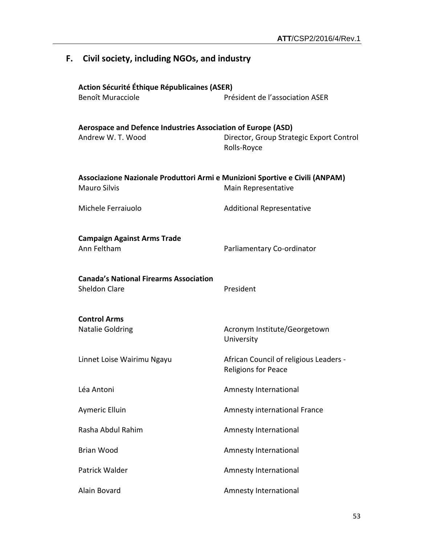| F. Civil society, including NGOs, and industry                                                      |                                                                      |
|-----------------------------------------------------------------------------------------------------|----------------------------------------------------------------------|
| Action Sécurité Éthique Républicaines (ASER)<br>Benoît Muracciole                                   | Président de l'association ASER                                      |
| Aerospace and Defence Industries Association of Europe (ASD)<br>Andrew W. T. Wood                   | Director, Group Strategic Export Control<br>Rolls-Royce              |
| Associazione Nazionale Produttori Armi e Munizioni Sportive e Civili (ANPAM)<br><b>Mauro Silvis</b> | Main Representative                                                  |
| Michele Ferraiuolo                                                                                  | <b>Additional Representative</b>                                     |
| <b>Campaign Against Arms Trade</b><br>Ann Feltham                                                   | Parliamentary Co-ordinator                                           |
| <b>Canada's National Firearms Association</b><br><b>Sheldon Clare</b>                               | President                                                            |
| <b>Control Arms</b><br><b>Natalie Goldring</b>                                                      | Acronym Institute/Georgetown<br>University                           |
| Linnet Loise Wairimu Ngayu                                                                          | African Council of religious Leaders -<br><b>Religions for Peace</b> |
| Léa Antoni                                                                                          | Amnesty International                                                |
| Aymeric Elluin                                                                                      | Amnesty international France                                         |
| Rasha Abdul Rahim                                                                                   | Amnesty International                                                |
| <b>Brian Wood</b>                                                                                   | Amnesty International                                                |
| Patrick Walder                                                                                      | Amnesty International                                                |
| Alain Bovard                                                                                        | Amnesty International                                                |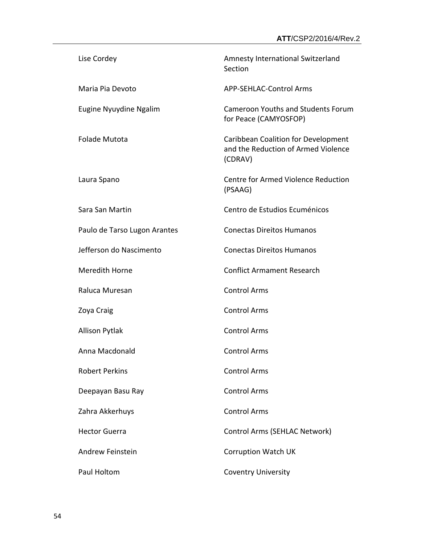| Lise Cordey                  | Amnesty International Switzerland<br>Section                                          |
|------------------------------|---------------------------------------------------------------------------------------|
| Maria Pia Devoto             | <b>APP-SEHLAC-Control Arms</b>                                                        |
| Eugine Nyuydine Ngalim       | <b>Cameroon Youths and Students Forum</b><br>for Peace (CAMYOSFOP)                    |
| <b>Folade Mutota</b>         | Caribbean Coalition for Development<br>and the Reduction of Armed Violence<br>(CDRAV) |
| Laura Spano                  | Centre for Armed Violence Reduction<br>(PSAAG)                                        |
| Sara San Martin              | Centro de Estudios Ecuménicos                                                         |
| Paulo de Tarso Lugon Arantes | <b>Conectas Direitos Humanos</b>                                                      |
| Jefferson do Nascimento      | <b>Conectas Direitos Humanos</b>                                                      |
| Meredith Horne               | <b>Conflict Armament Research</b>                                                     |
| Raluca Muresan               | <b>Control Arms</b>                                                                   |
| Zoya Craig                   | <b>Control Arms</b>                                                                   |
| <b>Allison Pytlak</b>        | <b>Control Arms</b>                                                                   |
| Anna Macdonald               | <b>Control Arms</b>                                                                   |
| <b>Robert Perkins</b>        | <b>Control Arms</b>                                                                   |
| Deepayan Basu Ray            | <b>Control Arms</b>                                                                   |
| Zahra Akkerhuys              | <b>Control Arms</b>                                                                   |
| <b>Hector Guerra</b>         | Control Arms (SEHLAC Network)                                                         |
| Andrew Feinstein             | <b>Corruption Watch UK</b>                                                            |
| Paul Holtom                  | <b>Coventry University</b>                                                            |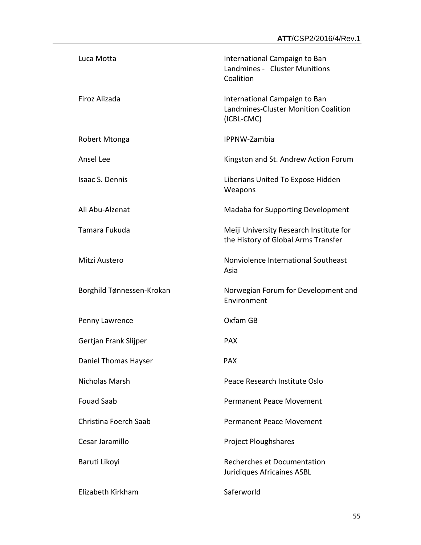| Luca Motta                | International Campaign to Ban<br>Landmines - Cluster Munitions<br>Coalition         |
|---------------------------|-------------------------------------------------------------------------------------|
| Firoz Alizada             | International Campaign to Ban<br>Landmines-Cluster Monition Coalition<br>(ICBL-CMC) |
| Robert Mtonga             | IPPNW-Zambia                                                                        |
| Ansel Lee                 | Kingston and St. Andrew Action Forum                                                |
| Isaac S. Dennis           | Liberians United To Expose Hidden<br>Weapons                                        |
| Ali Abu-Alzenat           | Madaba for Supporting Development                                                   |
| Tamara Fukuda             | Meiji University Research Institute for<br>the History of Global Arms Transfer      |
| Mitzi Austero             | Nonviolence International Southeast<br>Asia                                         |
| Borghild Tønnessen-Krokan | Norwegian Forum for Development and<br>Environment                                  |
| Penny Lawrence            | Oxfam GB                                                                            |
| Gertjan Frank Slijper     | <b>PAX</b>                                                                          |
| Daniel Thomas Hayser      | <b>PAX</b>                                                                          |
| Nicholas Marsh            | Peace Research Institute Oslo                                                       |
| <b>Fouad Saab</b>         | <b>Permanent Peace Movement</b>                                                     |
| Christina Foerch Saab     | Permanent Peace Movement                                                            |
| Cesar Jaramillo           | <b>Project Ploughshares</b>                                                         |
| Baruti Likoyi             | Recherches et Documentation<br>Juridiques Africaines ASBL                           |
| Elizabeth Kirkham         | Saferworld                                                                          |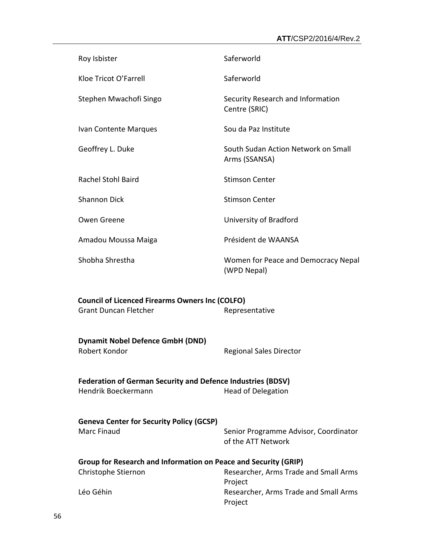| Roy Isbister                                                                                                           | Saferworld                                                  |  |
|------------------------------------------------------------------------------------------------------------------------|-------------------------------------------------------------|--|
| Kloe Tricot O'Farrell                                                                                                  | Saferworld                                                  |  |
| Stephen Mwachofi Singo                                                                                                 | Security Research and Information<br>Centre (SRIC)          |  |
| Ivan Contente Marques                                                                                                  | Sou da Paz Institute                                        |  |
| Geoffrey L. Duke                                                                                                       | South Sudan Action Network on Small<br>Arms (SSANSA)        |  |
| <b>Rachel Stohl Baird</b>                                                                                              | <b>Stimson Center</b>                                       |  |
| <b>Shannon Dick</b>                                                                                                    | <b>Stimson Center</b>                                       |  |
| Owen Greene                                                                                                            | University of Bradford                                      |  |
| Amadou Moussa Maiga                                                                                                    | Président de WAANSA                                         |  |
| Shobha Shrestha                                                                                                        | Women for Peace and Democracy Nepal<br>(WPD Nepal)          |  |
| <b>Council of Licenced Firearms Owners Inc (COLFO)</b><br><b>Grant Duncan Fletcher</b>                                 | Representative                                              |  |
| <b>Dynamit Nobel Defence GmbH (DND)</b><br>Robert Kondor                                                               | <b>Regional Sales Director</b>                              |  |
| <b>Federation of German Security and Defence Industries (BDSV)</b><br>Hendrik Boeckermann<br><b>Head of Delegation</b> |                                                             |  |
| <b>Geneva Center for Security Policy (GCSP)</b><br>Marc Finaud                                                         | Senior Programme Advisor, Coordinator<br>of the ATT Network |  |
| Group for Research and Information on Peace and Security (GRIP)<br>Christophe Stiernon                                 | Researcher, Arms Trade and Small Arms                       |  |
| Léo Géhin                                                                                                              | Project<br>Researcher, Arms Trade and Small Arms<br>Project |  |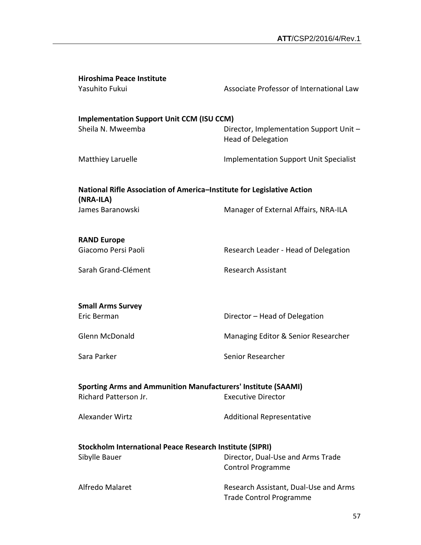| <b>Hiroshima Peace Institute</b><br>Yasuhito Fukui                                                                                                                                | Associate Professor of International Law                                |  |
|-----------------------------------------------------------------------------------------------------------------------------------------------------------------------------------|-------------------------------------------------------------------------|--|
| <b>Implementation Support Unit CCM (ISU CCM)</b><br>Sheila N. Mweemba                                                                                                             | Director, Implementation Support Unit -<br><b>Head of Delegation</b>    |  |
| Matthiey Laruelle                                                                                                                                                                 | <b>Implementation Support Unit Specialist</b>                           |  |
| National Rifle Association of America-Institute for Legislative Action<br>(NRA-ILA)                                                                                               |                                                                         |  |
| James Baranowski                                                                                                                                                                  | Manager of External Affairs, NRA-ILA                                    |  |
| <b>RAND Europe</b><br>Giacomo Persi Paoli                                                                                                                                         | Research Leader - Head of Delegation                                    |  |
| Sarah Grand-Clément                                                                                                                                                               | <b>Research Assistant</b>                                               |  |
| <b>Small Arms Survey</b><br>Eric Berman                                                                                                                                           | Director - Head of Delegation                                           |  |
| Glenn McDonald                                                                                                                                                                    | Managing Editor & Senior Researcher                                     |  |
| Sara Parker                                                                                                                                                                       | Senior Researcher                                                       |  |
| <b>Sporting Arms and Ammunition Manufacturers' Institute (SAAMI)</b><br>Richard Patterson Jr.<br><b>Executive Director</b><br>Alexander Wirtz<br><b>Additional Representative</b> |                                                                         |  |
|                                                                                                                                                                                   |                                                                         |  |
| Stockholm International Peace Research Institute (SIPRI)<br>Sibylle Bauer                                                                                                         | Director, Dual-Use and Arms Trade<br><b>Control Programme</b>           |  |
| Alfredo Malaret                                                                                                                                                                   | Research Assistant, Dual-Use and Arms<br><b>Trade Control Programme</b> |  |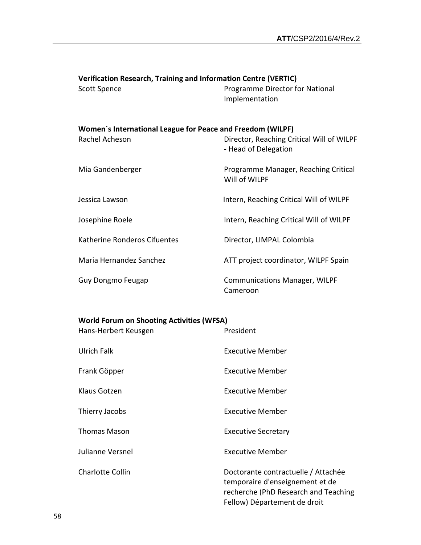| <b>Verification Research, Training and Information Centre (VERTIC)</b>       |                                                                   |
|------------------------------------------------------------------------------|-------------------------------------------------------------------|
| <b>Scott Spence</b>                                                          | Programme Director for National<br>Implementation                 |
| Women's International League for Peace and Freedom (WILPF)<br>Rachel Acheson | Director, Reaching Critical Will of WILPF<br>- Head of Delegation |
| Mia Gandenberger                                                             | Programme Manager, Reaching Critical<br>Will of WILPF             |
| Jessica Lawson                                                               | Intern, Reaching Critical Will of WILPF                           |
| Josephine Roele                                                              | Intern, Reaching Critical Will of WILPF                           |
| Katherine Ronderos Cifuentes                                                 | Director, LIMPAL Colombia                                         |
| Maria Hernandez Sanchez                                                      | ATT project coordinator, WILPF Spain                              |
| Guy Dongmo Feugap                                                            | <b>Communications Manager, WILPF</b><br>Cameroon                  |

## **World Forum on Shooting Activities (WFSA)**

| Hans-Herbert Keusgen | President                                                                                                                                      |
|----------------------|------------------------------------------------------------------------------------------------------------------------------------------------|
| <b>Ulrich Falk</b>   | <b>Executive Member</b>                                                                                                                        |
| Frank Göpper         | <b>Executive Member</b>                                                                                                                        |
| Klaus Gotzen         | <b>Executive Member</b>                                                                                                                        |
| Thierry Jacobs       | <b>Executive Member</b>                                                                                                                        |
| <b>Thomas Mason</b>  | <b>Executive Secretary</b>                                                                                                                     |
| Julianne Versnel     | <b>Executive Member</b>                                                                                                                        |
| Charlotte Collin     | Doctorante contractuelle / Attachée<br>temporaire d'enseignement et de<br>recherche (PhD Research and Teaching<br>Fellow) Département de droit |